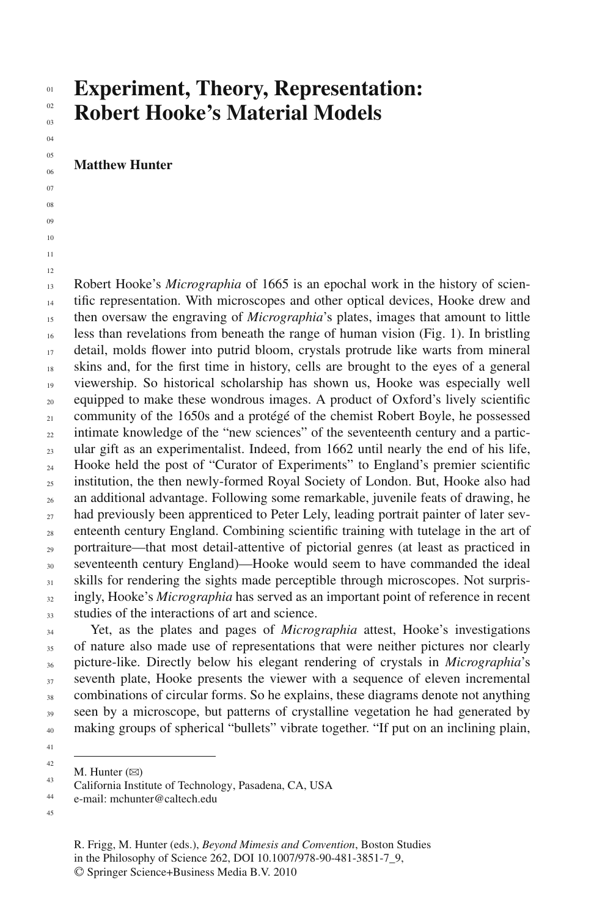# **Experiment, Theory, Representation: Robert Hooke's Material Models**

**Matthew Hunter**

> 13 14 15 16 17 18 19 20  $21$  $22$ 23 24  $25$ 26  $27$  $28$ 29 30 31 32 33 Robert Hooke's *Micrographia* of 1665 is an epochal work in the history of scientific representation. With microscopes and other optical devices, Hooke drew and then oversaw the engraving of *Micrographia*'s plates, images that amount to little less than revelations from beneath the range of human vision (Fig. [1\)](#page-1-0). In bristling detail, molds flower into putrid bloom, crystals protrude like warts from mineral skins and, for the first time in history, cells are brought to the eyes of a general viewership. So historical scholarship has shown us, Hooke was especially well equipped to make these wondrous images. A product of Oxford's lively scientific community of the 1650s and a protégé of the chemist Robert Boyle, he possessed intimate knowledge of the "new sciences" of the seventeenth century and a particular gift as an experimentalist. Indeed, from 1662 until nearly the end of his life, Hooke held the post of "Curator of Experiments" to England's premier scientific institution, the then newly-formed Royal Society of London. But, Hooke also had an additional advantage. Following some remarkable, juvenile feats of drawing, he had previously been apprenticed to Peter Lely, leading portrait painter of later seventeenth century England. Combining scientific training with tutelage in the art of portraiture—that most detail-attentive of pictorial genres (at least as practiced in seventeenth century England)—Hooke would seem to have commanded the ideal skills for rendering the sights made perceptible through microscopes. Not surprisingly, Hooke's *Micrographia* has served as an important point of reference in recent studies of the interactions of art and science.

> 34 35 36 37 38 39 40 Yet, as the plates and pages of *Micrographia* attest, Hooke's investigations of nature also made use of representations that were neither pictures nor clearly picture-like. Directly below his elegant rendering of crystals in *Micrographia*'s seventh plate, Hooke presents the viewer with a sequence of eleven incremental combinations of circular forms. So he explains, these diagrams denote not anything seen by a microscope, but patterns of crystalline vegetation he had generated by making groups of spherical "bullets" vibrate together. "If put on an inclining plain,

41

45

-C Springer Science+Business Media B.V. 2010

<sup>42</sup> M. Hunter  $(\boxtimes)$ 

<sup>43</sup> California Institute of Technology, Pasadena, CA, USA

<sup>44</sup> e-mail: mchunter@caltech.edu

R. Frigg, M. Hunter (eds.), *Beyond Mimesis and Convention*, Boston Studies

in the Philosophy of Science 262, DOI 10.1007/978-90-481-3851-7\_9,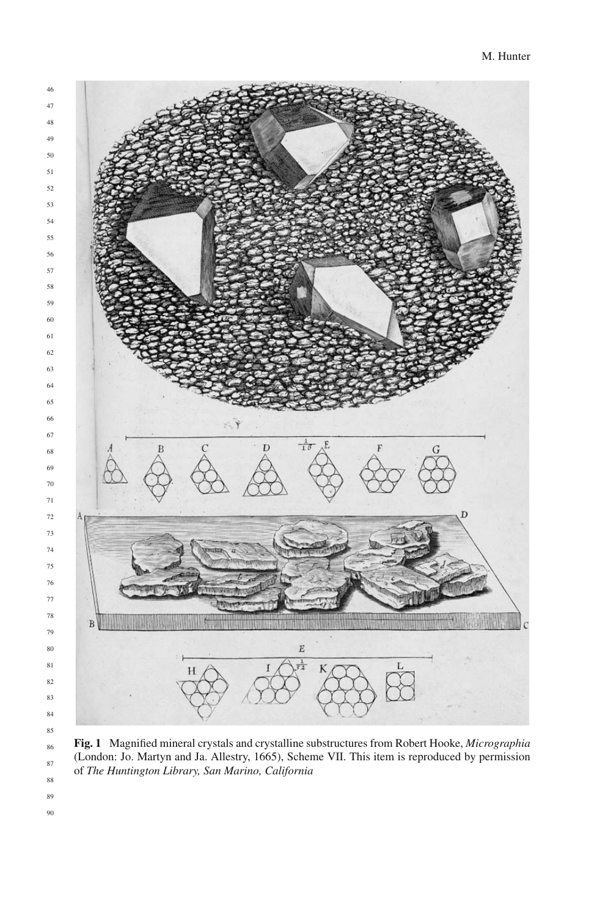<span id="page-1-0"></span>

**Fig. 1** Magnified mineral crystals and crystalline substructures from Robert Hooke, *Micrographia* (London: Jo. Martyn and Ja. Allestry, 1665), Scheme VII. This item is reproduced by permission of *The Huntington Library, San Marino, California*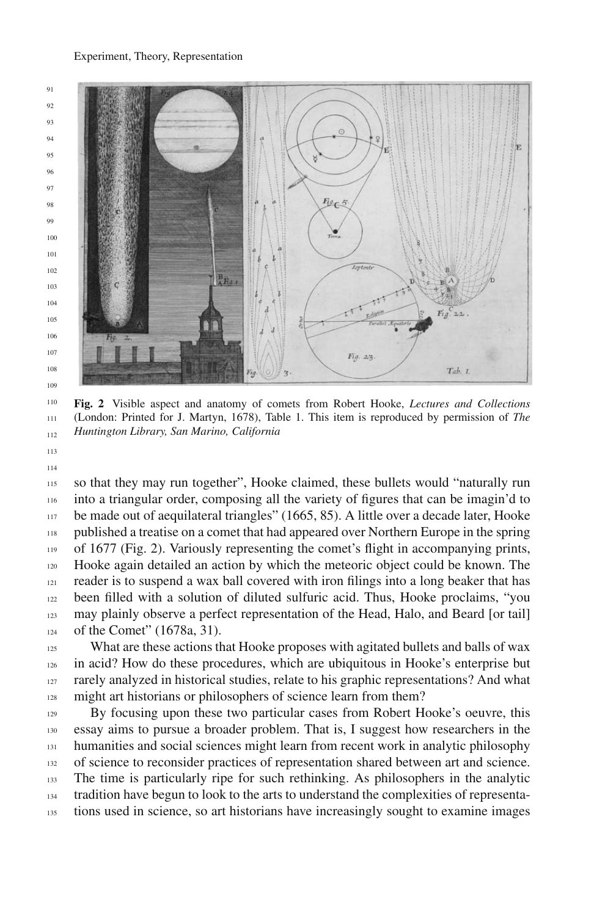<span id="page-2-0"></span>

 **Fig. 2** Visible aspect and anatomy of comets from Robert Hooke, *Lectures and Collections* (London: Printed for J. Martyn, 1678), Table 1. This item is reproduced by permission of *The Huntington Library, San Marino, California*

 so that they may run together", Hooke claimed, these bullets would "naturally run into a triangular order, composing all the variety of figures that can be imagin'd to be made out of aequilateral triangles" (1665, 85). A little over a decade later, Hooke published a treatise on a comet that had appeared over Northern Europe in the spring of 1677 (Fig. [2\)](#page-2-0). Variously representing the comet's flight in accompanying prints, Hooke again detailed an action by which the meteoric object could be known. The reader is to suspend a wax ball covered with iron filings into a long beaker that has been filled with a solution of diluted sulfuric acid. Thus, Hooke proclaims, "you may plainly observe a perfect representation of the Head, Halo, and Beard [or tail] of the Comet" (1678a, 31).

 What are these actions that Hooke proposes with agitated bullets and balls of wax in acid? How do these procedures, which are ubiquitous in Hooke's enterprise but rarely analyzed in historical studies, relate to his graphic representations? And what might art historians or philosophers of science learn from them?

 By focusing upon these two particular cases from Robert Hooke's oeuvre, this essay aims to pursue a broader problem. That is, I suggest how researchers in the humanities and social sciences might learn from recent work in analytic philosophy of science to reconsider practices of representation shared between art and science. The time is particularly ripe for such rethinking. As philosophers in the analytic tradition have begun to look to the arts to understand the complexities of representations used in science, so art historians have increasingly sought to examine images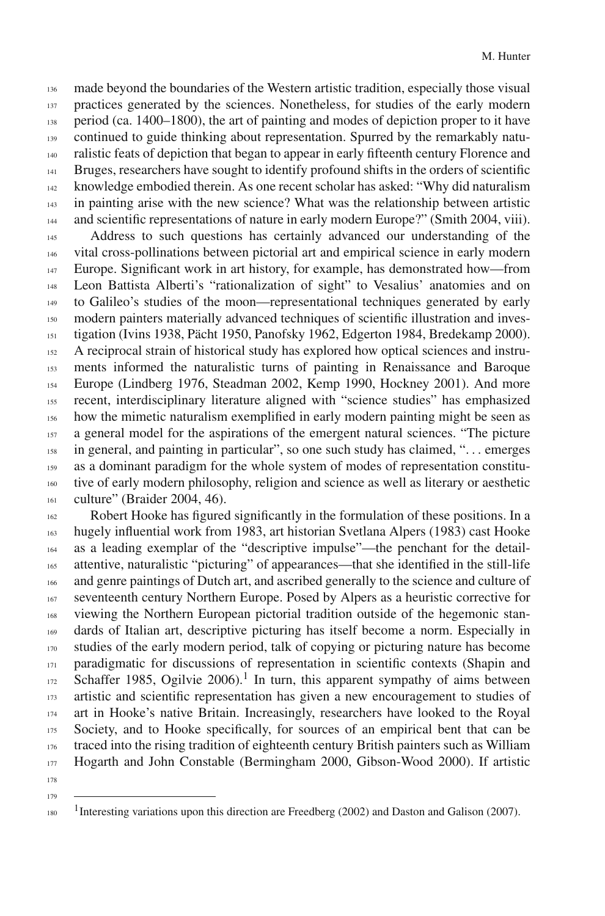136 137 138 139 140 141 142 143 144 made beyond the boundaries of the Western artistic tradition, especially those visual practices generated by the sciences. Nonetheless, for studies of the early modern period (ca. 1400–1800), the art of painting and modes of depiction proper to it have continued to guide thinking about representation. Spurred by the remarkably naturalistic feats of depiction that began to appear in early fifteenth century Florence and Bruges, researchers have sought to identify profound shifts in the orders of scientific knowledge embodied therein. As one recent scholar has asked: "Why did naturalism in painting arise with the new science? What was the relationship between artistic and scientific representations of nature in early modern Europe?" (Smith [2004,](#page-26-0) viii).

145 146 147 148 149 150 151 152 153 154 155 156 157 158 159 160 161 Address to such questions has certainly advanced our understanding of the vital cross-pollinations between pictorial art and empirical science in early modern Europe. Significant work in art history, for example, has demonstrated how—from Leon Battista Alberti's "rationalization of sight" to Vesalius' anatomies and on to Galileo's studies of the moon—representational techniques generated by early modern painters materially advanced techniques of scientific illustration and investigation (Ivins [1938,](#page-25-0) Pächt [1950,](#page-26-1) Panofsky [1962,](#page-26-2) Edgerton [1984,](#page-23-0) Bredekamp [2000\)](#page-23-1). A reciprocal strain of historical study has explored how optical sciences and instruments informed the naturalistic turns of painting in Renaissance and Baroque Europe (Lindberg [1976,](#page-25-1) Steadman [2002,](#page-26-3) Kemp [1990,](#page-25-2) Hockney [2001\)](#page-24-0). And more recent, interdisciplinary literature aligned with "science studies" has emphasized how the mimetic naturalism exemplified in early modern painting might be seen as a general model for the aspirations of the emergent natural sciences. "The picture in general, and painting in particular", so one such study has claimed, "*...* emerges as a dominant paradigm for the whole system of modes of representation constitutive of early modern philosophy, religion and science as well as literary or aesthetic culture" (Braider [2004,](#page-23-2) 46).

162 163 164 165 166 167 168 169 170 171 172 173 174 175 176 177 Robert Hooke has figured significantly in the formulation of these positions. In a hugely influential work from 1983, art historian Svetlana Alpers [\(1983\)](#page-23-3) cast Hooke as a leading exemplar of the "descriptive impulse"—the penchant for the detailattentive, naturalistic "picturing" of appearances—that she identified in the still-life and genre paintings of Dutch art, and ascribed generally to the science and culture of seventeenth century Northern Europe. Posed by Alpers as a heuristic corrective for viewing the Northern European pictorial tradition outside of the hegemonic standards of Italian art, descriptive picturing has itself become a norm. Especially in studies of the early modern period, talk of copying or picturing nature has become paradigmatic for discussions of representation in scientific contexts (Shapin and Schaffer [1985,](#page-26-4) Ogilvie  $2006$ .<sup>1</sup> In turn, this apparent sympathy of aims between artistic and scientific representation has given a new encouragement to studies of art in Hooke's native Britain. Increasingly, researchers have looked to the Royal Society, and to Hooke specifically, for sources of an empirical bent that can be traced into the rising tradition of eighteenth century British painters such as William Hogarth and John Constable (Bermingham [2000,](#page-23-4) Gibson-Wood [2000\)](#page-24-1). If artistic

<span id="page-3-0"></span><sup>180</sup> <sup>1</sup> Interesting variations upon this direction are Freedberg [\(2002\)](#page-24-2) and Daston and Galison (2007).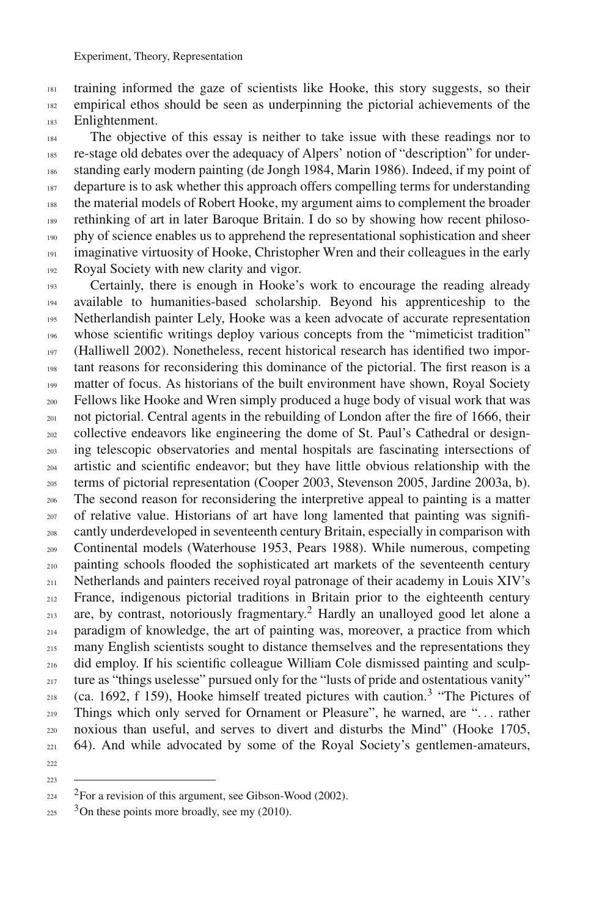181 182 183 training informed the gaze of scientists like Hooke, this story suggests, so their empirical ethos should be seen as underpinning the pictorial achievements of the Enlightenment.

184 185 186 187 188 189 190 191 192 The objective of this essay is neither to take issue with these readings nor to re-stage old debates over the adequacy of Alpers' notion of "description" for understanding early modern painting (de Jongh [1984,](#page-25-3) Marin [1986\)](#page-25-4). Indeed, if my point of departure is to ask whether this approach offers compelling terms for understanding the material models of Robert Hooke, my argument aims to complement the broader rethinking of art in later Baroque Britain. I do so by showing how recent philosophy of science enables us to apprehend the representational sophistication and sheer imaginative virtuosity of Hooke, Christopher Wren and their colleagues in the early Royal Society with new clarity and vigor.

193 194 195 196 197 198 199 200 201 202 203 204  $205$ 206 207 208 209 210 211 212 213 214 215 216 217 218 219 220 221 Certainly, there is enough in Hooke's work to encourage the reading already available to humanities-based scholarship. Beyond his apprenticeship to the Netherlandish painter Lely, Hooke was a keen advocate of accurate representation whose scientific writings deploy various concepts from the "mimeticist tradition" (Halliwell [2002\)](#page-24-3). Nonetheless, recent historical research has identified two important reasons for reconsidering this dominance of the pictorial. The first reason is a matter of focus. As historians of the built environment have shown, Royal Society Fellows like Hooke and Wren simply produced a huge body of visual work that was not pictorial. Central agents in the rebuilding of London after the fire of 1666, their collective endeavors like engineering the dome of St. Paul's Cathedral or designing telescopic observatories and mental hospitals are fascinating intersections of artistic and scientific endeavor; but they have little obvious relationship with the terms of pictorial representation (Cooper 2003, Stevenson [2005,](#page-26-6) Jardine [2003a,](#page-25-5) b). The second reason for reconsidering the interpretive appeal to painting is a matter of relative value. Historians of art have long lamented that painting was significantly underdeveloped in seventeenth century Britain, especially in comparison with Continental models (Waterhouse [1953,](#page-26-7) Pears [1988\)](#page-26-8). While numerous, competing painting schools flooded the sophisticated art markets of the seventeenth century Netherlands and painters received royal patronage of their academy in Louis XIV's France, indigenous pictorial traditions in Britain prior to the eighteenth century are, by contrast, notoriously fragmentary.<sup>[2](#page-4-0)</sup> Hardly an unalloyed good let alone a paradigm of knowledge, the art of painting was, moreover, a practice from which many English scientists sought to distance themselves and the representations they did employ. If his scientific colleague William Cole dismissed painting and sculpture as "things uselesse" pursued only for the "lusts of pride and ostentatious vanity" (ca. 1692, f 159), Hooke himself treated pictures with caution.<sup>[3](#page-4-1)</sup> "The Pictures of Things which only served for Ornament or Pleasure", he warned, are "*...* rather noxious than useful, and serves to divert and disturbs the Mind" (Hooke [1705,](#page-25-6) 64). And while advocated by some of the Royal Society's gentlemen-amateurs,

 $224$  ${}^{2}$ For a revision of this argument, see Gibson-Wood [\(2002\)](#page-24-4).

<span id="page-4-1"></span><span id="page-4-0"></span><sup>225</sup>  $3$ On these points more broadly, see my [\(2010\)](#page-25-7).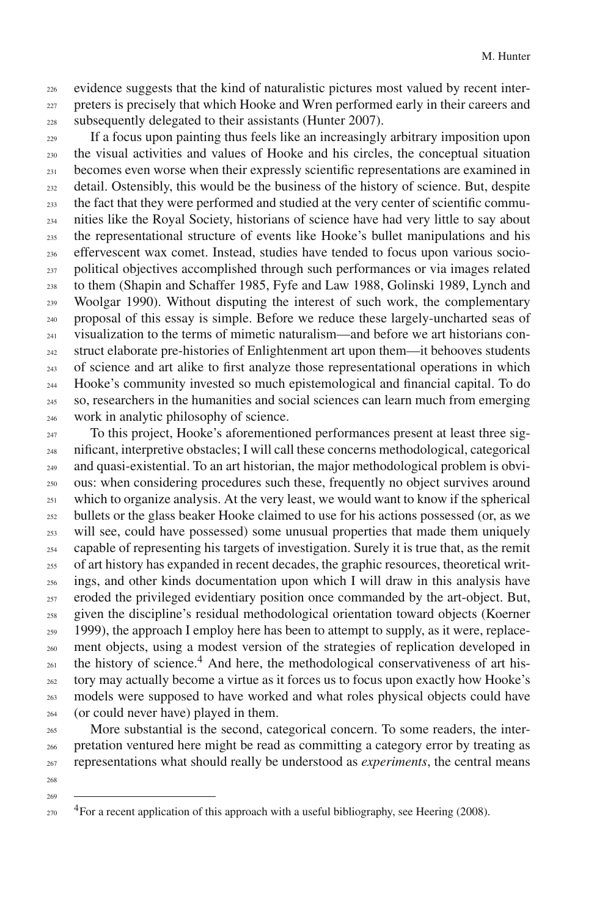$226$  $227$  $228$ evidence suggests that the kind of naturalistic pictures most valued by recent interpreters is precisely that which Hooke and Wren performed early in their careers and subsequently delegated to their assistants (Hunter 2007).

229 230  $231$  $232$ 233 234 235 236  $237$ 238 239 240 241  $242$ 243 244 245 246 If a focus upon painting thus feels like an increasingly arbitrary imposition upon the visual activities and values of Hooke and his circles, the conceptual situation becomes even worse when their expressly scientific representations are examined in detail. Ostensibly, this would be the business of the history of science. But, despite the fact that they were performed and studied at the very center of scientific communities like the Royal Society, historians of science have had very little to say about the representational structure of events like Hooke's bullet manipulations and his effervescent wax comet. Instead, studies have tended to focus upon various sociopolitical objectives accomplished through such performances or via images related to them (Shapin and Schaffer [1985,](#page-26-4) Fyfe and Law 1988, Golinski [1989,](#page-24-5) Lynch and Woolgar 1990). Without disputing the interest of such work, the complementary proposal of this essay is simple. Before we reduce these largely-uncharted seas of visualization to the terms of mimetic naturalism—and before we art historians construct elaborate pre-histories of Enlightenment art upon them—it behooves students of science and art alike to first analyze those representational operations in which Hooke's community invested so much epistemological and financial capital. To do so, researchers in the humanities and social sciences can learn much from emerging work in analytic philosophy of science.

247 248 249  $250$ 251  $252$  $253$ 254  $255$ 256 257 258 259 260 261 262 263 264 To this project, Hooke's aforementioned performances present at least three significant, interpretive obstacles; I will call these concerns methodological, categorical and quasi-existential. To an art historian, the major methodological problem is obvious: when considering procedures such these, frequently no object survives around which to organize analysis. At the very least, we would want to know if the spherical bullets or the glass beaker Hooke claimed to use for his actions possessed (or, as we will see, could have possessed) some unusual properties that made them uniquely capable of representing his targets of investigation. Surely it is true that, as the remit of art history has expanded in recent decades, the graphic resources, theoretical writings, and other kinds documentation upon which I will draw in this analysis have eroded the privileged evidentiary position once commanded by the art-object. But, given the discipline's residual methodological orientation toward objects (Koerner [1999\)](#page-25-8), the approach I employ here has been to attempt to supply, as it were, replacement objects, using a modest version of the strategies of replication developed in the history of science.<sup>[4](#page-5-0)</sup> And here, the methodological conservativeness of art history may actually become a virtue as it forces us to focus upon exactly how Hooke's models were supposed to have worked and what roles physical objects could have (or could never have) played in them.

265 266 267 More substantial is the second, categorical concern. To some readers, the interpretation ventured here might be read as committing a category error by treating as representations what should really be understood as *experiments*, the central means

<span id="page-5-0"></span><sup>270</sup> <sup>4</sup>For a recent application of this approach with a useful bibliography, see Heering (2008).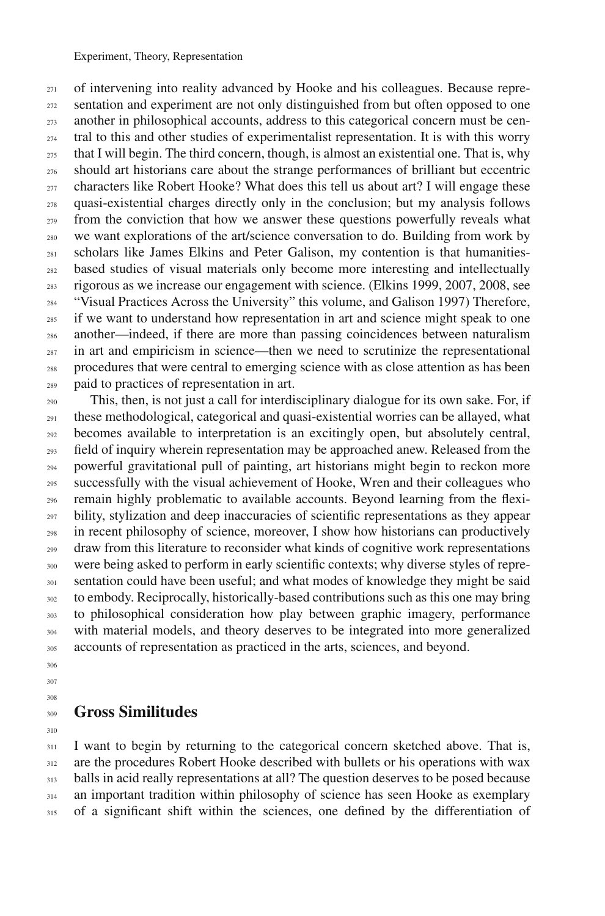$271$  $272$ 273 274 275 276 277 278 279 280  $281$  $282$ 283 284 285 286 287 288 289 of intervening into reality advanced by Hooke and his colleagues. Because representation and experiment are not only distinguished from but often opposed to one another in philosophical accounts, address to this categorical concern must be central to this and other studies of experimentalist representation. It is with this worry that I will begin. The third concern, though, is almost an existential one. That is, why should art historians care about the strange performances of brilliant but eccentric characters like Robert Hooke? What does this tell us about art? I will engage these quasi-existential charges directly only in the conclusion; but my analysis follows from the conviction that how we answer these questions powerfully reveals what we want explorations of the art/science conversation to do. Building from work by scholars like James Elkins and Peter Galison, my contention is that humanitiesbased studies of visual materials only become more interesting and intellectually rigorous as we increase our engagement with science. (Elkins [1999,](#page-24-6) [2007,](#page-24-7) [2008,](#page-24-8) see "Visual Practices Across the University" this volume, and Galison [1997\)](#page-24-9) Therefore, if we want to understand how representation in art and science might speak to one another—indeed, if there are more than passing coincidences between naturalism in art and empiricism in science—then we need to scrutinize the representational procedures that were central to emerging science with as close attention as has been paid to practices of representation in art.

290 291 292 293 294 295 296 297  $298$ 299 300 301 302 303 304 305 This, then, is not just a call for interdisciplinary dialogue for its own sake. For, if these methodological, categorical and quasi-existential worries can be allayed, what becomes available to interpretation is an excitingly open, but absolutely central, field of inquiry wherein representation may be approached anew. Released from the powerful gravitational pull of painting, art historians might begin to reckon more successfully with the visual achievement of Hooke, Wren and their colleagues who remain highly problematic to available accounts. Beyond learning from the flexibility, stylization and deep inaccuracies of scientific representations as they appear in recent philosophy of science, moreover, I show how historians can productively draw from this literature to reconsider what kinds of cognitive work representations were being asked to perform in early scientific contexts; why diverse styles of representation could have been useful; and what modes of knowledge they might be said to embody. Reciprocally, historically-based contributions such as this one may bring to philosophical consideration how play between graphic imagery, performance with material models, and theory deserves to be integrated into more generalized accounts of representation as practiced in the arts, sciences, and beyond.

306 307

308

#### 309 **Gross Similitudes**

310

311 312 313 314 315 I want to begin by returning to the categorical concern sketched above. That is, are the procedures Robert Hooke described with bullets or his operations with wax balls in acid really representations at all? The question deserves to be posed because an important tradition within philosophy of science has seen Hooke as exemplary of a significant shift within the sciences, one defined by the differentiation of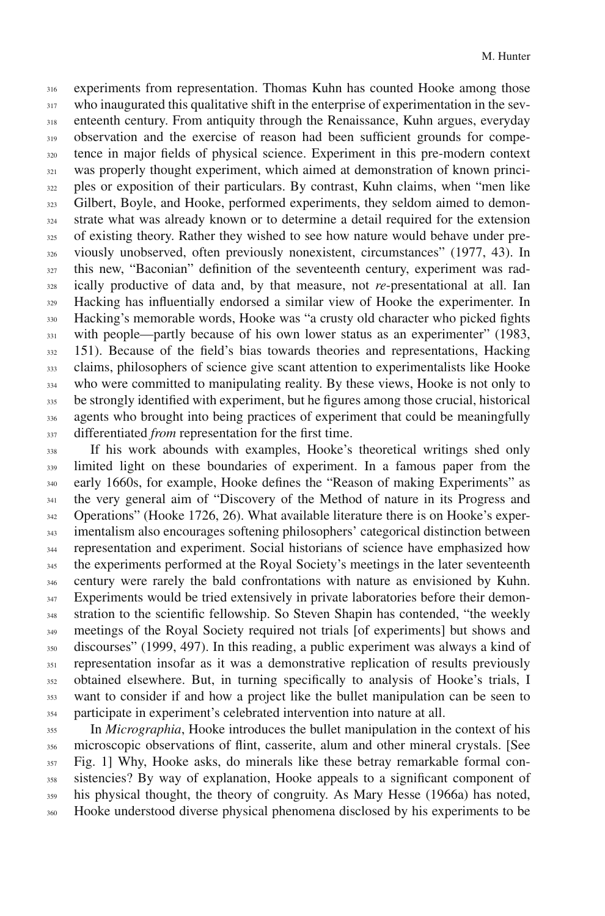316 317 318 319 320 321 322 323 324 325 326 327 328 329 330 331 332 333 334 335 336 337 experiments from representation. Thomas Kuhn has counted Hooke among those who inaugurated this qualitative shift in the enterprise of experimentation in the seventeenth century. From antiquity through the Renaissance, Kuhn argues, everyday observation and the exercise of reason had been sufficient grounds for competence in major fields of physical science. Experiment in this pre-modern context was properly thought experiment, which aimed at demonstration of known principles or exposition of their particulars. By contrast, Kuhn claims, when "men like Gilbert, Boyle, and Hooke, performed experiments, they seldom aimed to demonstrate what was already known or to determine a detail required for the extension of existing theory. Rather they wished to see how nature would behave under previously unobserved, often previously nonexistent, circumstances" (1977, 43). In this new, "Baconian" definition of the seventeenth century, experiment was radically productive of data and, by that measure, not *re*-presentational at all. Ian Hacking has influentially endorsed a similar view of Hooke the experimenter. In Hacking's memorable words, Hooke was "a crusty old character who picked fights with people—partly because of his own lower status as an experimenter" (1983, 151). Because of the field's bias towards theories and representations, Hacking claims, philosophers of science give scant attention to experimentalists like Hooke who were committed to manipulating reality. By these views, Hooke is not only to be strongly identified with experiment, but he figures among those crucial, historical agents who brought into being practices of experiment that could be meaningfully differentiated *from* representation for the first time.

338 339 340 341 342 343 344 345 346 347 348 349 350 351 352 353 354 If his work abounds with examples, Hooke's theoretical writings shed only limited light on these boundaries of experiment. In a famous paper from the early 1660s, for example, Hooke defines the "Reason of making Experiments" as the very general aim of "Discovery of the Method of nature in its Progress and Operations" (Hooke [1726,](#page-25-9) 26). What available literature there is on Hooke's experimentalism also encourages softening philosophers' categorical distinction between representation and experiment. Social historians of science have emphasized how the experiments performed at the Royal Society's meetings in the later seventeenth century were rarely the bald confrontations with nature as envisioned by Kuhn. Experiments would be tried extensively in private laboratories before their demonstration to the scientific fellowship. So Steven Shapin has contended, "the weekly meetings of the Royal Society required not trials [of experiments] but shows and discourses" (1999, 497). In this reading, a public experiment was always a kind of representation insofar as it was a demonstrative replication of results previously obtained elsewhere. But, in turning specifically to analysis of Hooke's trials, I want to consider if and how a project like the bullet manipulation can be seen to participate in experiment's celebrated intervention into nature at all.

355 356 357 358 359 360 In *Micrographia*, Hooke introduces the bullet manipulation in the context of his microscopic observations of flint, casserite, alum and other mineral crystals. [See Fig. [1\]](#page-1-0) Why, Hooke asks, do minerals like these betray remarkable formal consistencies? By way of explanation, Hooke appeals to a significant component of his physical thought, the theory of congruity. As Mary Hesse [\(1966a\)](#page-24-10) has noted, Hooke understood diverse physical phenomena disclosed by his experiments to be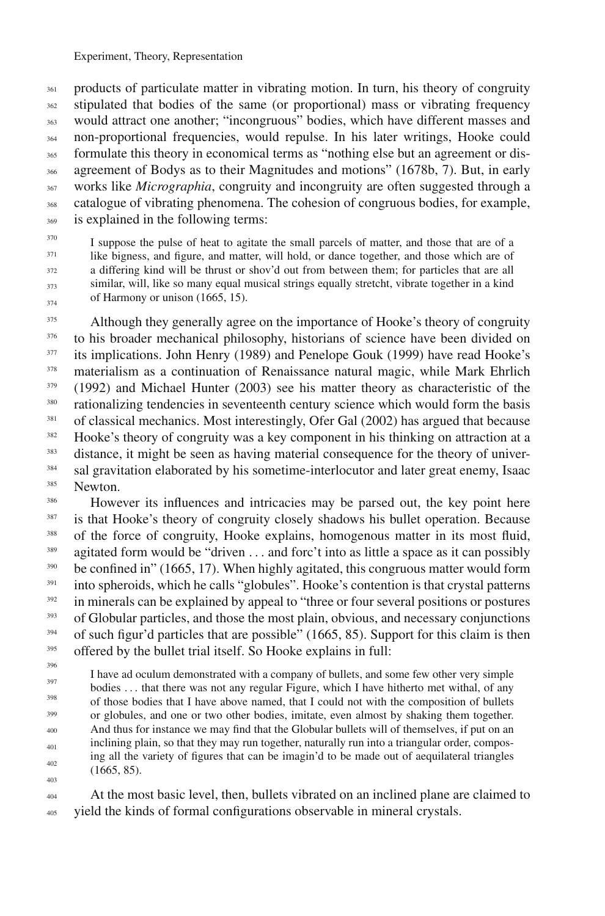# Experiment, Theory, Representation

361  $262$ 363 364 365 366 367 368 369 products of particulate matter in vibrating motion. In turn, his theory of congruity stipulated that bodies of the same (or proportional) mass or vibrating frequency would attract one another; "incongruous" bodies, which have different masses and non-proportional frequencies, would repulse. In his later writings, Hooke could formulate this theory in economical terms as "nothing else but an agreement or disagreement of Bodys as to their Magnitudes and motions" (1678b, 7). But, in early works like *Micrographia*, congruity and incongruity are often suggested through a catalogue of vibrating phenomena. The cohesion of congruous bodies, for example, is explained in the following terms:

370 371 372 373 374 I suppose the pulse of heat to agitate the small parcels of matter, and those that are of a like bigness, and figure, and matter, will hold, or dance together, and those which are of a differing kind will be thrust or shov'd out from between them; for particles that are all similar, will, like so many equal musical strings equally stretcht, vibrate together in a kind of Harmony or unison (1665, 15).

375 376 377 378 379 380 381 382 383 384 385 Although they generally agree on the importance of Hooke's theory of congruity to his broader mechanical philosophy, historians of science have been divided on its implications. John Henry [\(1989\)](#page-24-11) and Penelope Gouk [\(1999\)](#page-24-12) have read Hooke's materialism as a continuation of Renaissance natural magic, while Mark Ehrlich [\(1992\)](#page-23-5) and Michael Hunter [\(2003\)](#page-25-10) see his matter theory as characteristic of the rationalizing tendencies in seventeenth century science which would form the basis of classical mechanics. Most interestingly, Ofer Gal [\(2002\)](#page-24-13) has argued that because Hooke's theory of congruity was a key component in his thinking on attraction at a distance, it might be seen as having material consequence for the theory of universal gravitation elaborated by his sometime-interlocutor and later great enemy, Isaac Newton.

386 387 388 389 390 391 392 393 394 395 However its influences and intricacies may be parsed out, the key point here is that Hooke's theory of congruity closely shadows his bullet operation. Because of the force of congruity, Hooke explains, homogenous matter in its most fluid, agitated form would be "driven *...* and forc't into as little a space as it can possibly be confined in" (1665, 17). When highly agitated, this congruous matter would form into spheroids, which he calls "globules". Hooke's contention is that crystal patterns in minerals can be explained by appeal to "three or four several positions or postures of Globular particles, and those the most plain, obvious, and necessary conjunctions of such figur'd particles that are possible" (1665, 85). Support for this claim is then offered by the bullet trial itself. So Hooke explains in full:

396 397 398 399 400 401 402 403 I have ad oculum demonstrated with a company of bullets, and some few other very simple bodies *...* that there was not any regular Figure, which I have hitherto met withal, of any of those bodies that I have above named, that I could not with the composition of bullets or globules, and one or two other bodies, imitate, even almost by shaking them together. And thus for instance we may find that the Globular bullets will of themselves, if put on an inclining plain, so that they may run together, naturally run into a triangular order, composing all the variety of figures that can be imagin'd to be made out of aequilateral triangles (1665, 85).

404 405 At the most basic level, then, bullets vibrated on an inclined plane are claimed to yield the kinds of formal configurations observable in mineral crystals.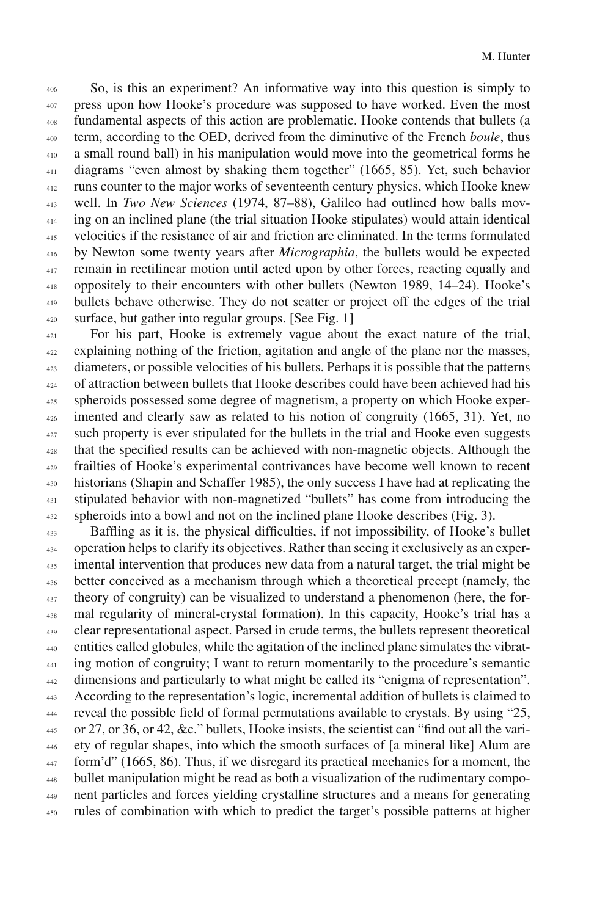406 407 408 409 410 411 412 413 414 415 416 417 418 419 420 So, is this an experiment? An informative way into this question is simply to press upon how Hooke's procedure was supposed to have worked. Even the most fundamental aspects of this action are problematic. Hooke contends that bullets (a term, according to the OED, derived from the diminutive of the French *boule*, thus a small round ball) in his manipulation would move into the geometrical forms he diagrams "even almost by shaking them together" (1665, 85). Yet, such behavior runs counter to the major works of seventeenth century physics, which Hooke knew well. In *Two New Sciences* (1974, 87–88), Galileo had outlined how balls moving on an inclined plane (the trial situation Hooke stipulates) would attain identical velocities if the resistance of air and friction are eliminated. In the terms formulated by Newton some twenty years after *Micrographia*, the bullets would be expected remain in rectilinear motion until acted upon by other forces, reacting equally and oppositely to their encounters with other bullets (Newton 1989, 14–24). Hooke's bullets behave otherwise. They do not scatter or project off the edges of the trial surface, but gather into regular groups. [See Fig. [1\]](#page-2-0)

421 422 423 424 425 426 427  $428$ 429 430 431 432 For his part, Hooke is extremely vague about the exact nature of the trial, explaining nothing of the friction, agitation and angle of the plane nor the masses, diameters, or possible velocities of his bullets. Perhaps it is possible that the patterns of attraction between bullets that Hooke describes could have been achieved had his spheroids possessed some degree of magnetism, a property on which Hooke experimented and clearly saw as related to his notion of congruity (1665, 31). Yet, no such property is ever stipulated for the bullets in the trial and Hooke even suggests that the specified results can be achieved with non-magnetic objects. Although the frailties of Hooke's experimental contrivances have become well known to recent historians (Shapin and Schaffer [1985\)](#page-26-4), the only success I have had at replicating the stipulated behavior with non-magnetized "bullets" has come from introducing the spheroids into a bowl and not on the inclined plane Hooke describes (Fig. [3\)](#page-10-0).

433 434 435 436 437 438 439 440 441 442 443 444 445 446 447 448 449 450 Baffling as it is, the physical difficulties, if not impossibility, of Hooke's bullet operation helps to clarify its objectives. Rather than seeing it exclusively as an experimental intervention that produces new data from a natural target, the trial might be better conceived as a mechanism through which a theoretical precept (namely, the theory of congruity) can be visualized to understand a phenomenon (here, the formal regularity of mineral-crystal formation). In this capacity, Hooke's trial has a clear representational aspect. Parsed in crude terms, the bullets represent theoretical entities called globules, while the agitation of the inclined plane simulates the vibrating motion of congruity; I want to return momentarily to the procedure's semantic dimensions and particularly to what might be called its "enigma of representation". According to the representation's logic, incremental addition of bullets is claimed to reveal the possible field of formal permutations available to crystals. By using "25, or 27, or 36, or 42, &c." bullets, Hooke insists, the scientist can "find out all the variety of regular shapes, into which the smooth surfaces of [a mineral like] Alum are form'd" (1665, 86). Thus, if we disregard its practical mechanics for a moment, the bullet manipulation might be read as both a visualization of the rudimentary component particles and forces yielding crystalline structures and a means for generating rules of combination with which to predict the target's possible patterns at higher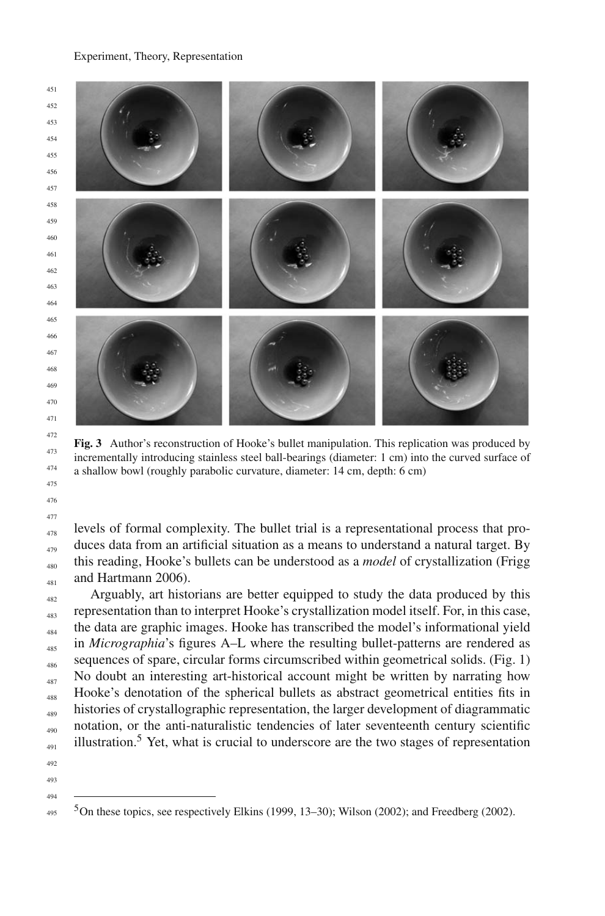<span id="page-10-0"></span>

**Fig. 3** Author's reconstruction of Hooke's bullet manipulation. This replication was produced by incrementally introducing stainless steel ball-bearings (diameter: 1 cm) into the curved surface of a shallow bowl (roughly parabolic curvature, diameter: 14 cm, depth: 6 cm)

 levels of formal complexity. The bullet trial is a representational process that produces data from an artificial situation as a means to understand a natural target. By this reading, Hooke's bullets can be understood as a *model* of crystallization (Frigg and Hartmann 2006).

 Arguably, art historians are better equipped to study the data produced by this representation than to interpret Hooke's crystallization model itself. For, in this case, the data are graphic images. Hooke has transcribed the model's informational yield in *Micrographia*'s figures A–L where the resulting bullet-patterns are rendered as sequences of spare, circular forms circumscribed within geometrical solids. (Fig. [1\)](#page-1-0) No doubt an interesting art-historical account might be written by narrating how Hooke's denotation of the spherical bullets as abstract geometrical entities fits in histories of crystallographic representation, the larger development of diagrammatic notation, or the anti-naturalistic tendencies of later seventeenth century scientific illustration.<sup>[5](#page-10-1)</sup> Yet, what is crucial to underscore are the two stages of representation

- 
- 

<span id="page-10-1"></span> 5On these topics, see respectively Elkins [\(1999,](#page-24-6) 13–30); Wilson [\(2002\)](#page-26-9); and Freedberg [\(2002\)](#page-24-2).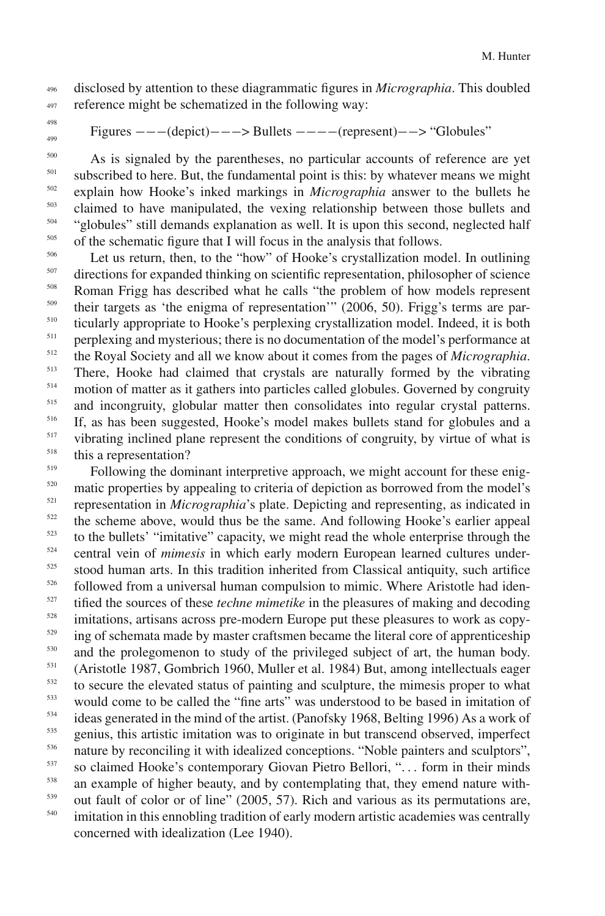496 497 disclosed by attention to these diagrammatic figures in *Micrographia*. This doubled reference might be schematized in the following way:

498 499

Figures −−−(depict)−−−> Bullets −−−−(represent)−−> "Globules"

500 501 502 503 504 505 As is signaled by the parentheses, no particular accounts of reference are yet subscribed to here. But, the fundamental point is this: by whatever means we might explain how Hooke's inked markings in *Micrographia* answer to the bullets he claimed to have manipulated, the vexing relationship between those bullets and "globules" still demands explanation as well. It is upon this second, neglected half of the schematic figure that I will focus in the analysis that follows.

506 507 508 509 510 511 512 513 514 515 516 517 518 Let us return, then, to the "how" of Hooke's crystallization model. In outlining directions for expanded thinking on scientific representation, philosopher of science Roman Frigg has described what he calls "the problem of how models represent their targets as 'the enigma of representation'" (2006, 50). Frigg's terms are particularly appropriate to Hooke's perplexing crystallization model. Indeed, it is both perplexing and mysterious; there is no documentation of the model's performance at the Royal Society and all we know about it comes from the pages of *Micrographia*. There, Hooke had claimed that crystals are naturally formed by the vibrating motion of matter as it gathers into particles called globules. Governed by congruity and incongruity, globular matter then consolidates into regular crystal patterns. If, as has been suggested, Hooke's model makes bullets stand for globules and a vibrating inclined plane represent the conditions of congruity, by virtue of what is this a representation?

519 520 521 522 523 524 525 526 527 528 529 530 531 532 533 534 535 536 537 538 539 540 Following the dominant interpretive approach, we might account for these enigmatic properties by appealing to criteria of depiction as borrowed from the model's representation in *Micrographia*'s plate. Depicting and representing, as indicated in the scheme above, would thus be the same. And following Hooke's earlier appeal to the bullets' "imitative" capacity, we might read the whole enterprise through the central vein of *mimesis* in which early modern European learned cultures understood human arts. In this tradition inherited from Classical antiquity, such artifice followed from a universal human compulsion to mimic. Where Aristotle had identified the sources of these *techne mimetike* in the pleasures of making and decoding imitations, artisans across pre-modern Europe put these pleasures to work as copying of schemata made by master craftsmen became the literal core of apprenticeship and the prolegomenon to study of the privileged subject of art, the human body. (Aristotle [1987,](#page-23-6) Gombrich 1960, Muller et al. 1984) But, among intellectuals eager to secure the elevated status of painting and sculpture, the mimesis proper to what would come to be called the "fine arts" was understood to be based in imitation of ideas generated in the mind of the artist. (Panofsky 1968, Belting 1996) As a work of genius, this artistic imitation was to originate in but transcend observed, imperfect nature by reconciling it with idealized conceptions. "Noble painters and sculptors", so claimed Hooke's contemporary Giovan Pietro Bellori, "*...* form in their minds an example of higher beauty, and by contemplating that, they emend nature without fault of color or of line" (2005, 57). Rich and various as its permutations are, imitation in this ennobling tradition of early modern artistic academies was centrally concerned with idealization (Lee [1940\)](#page-25-11).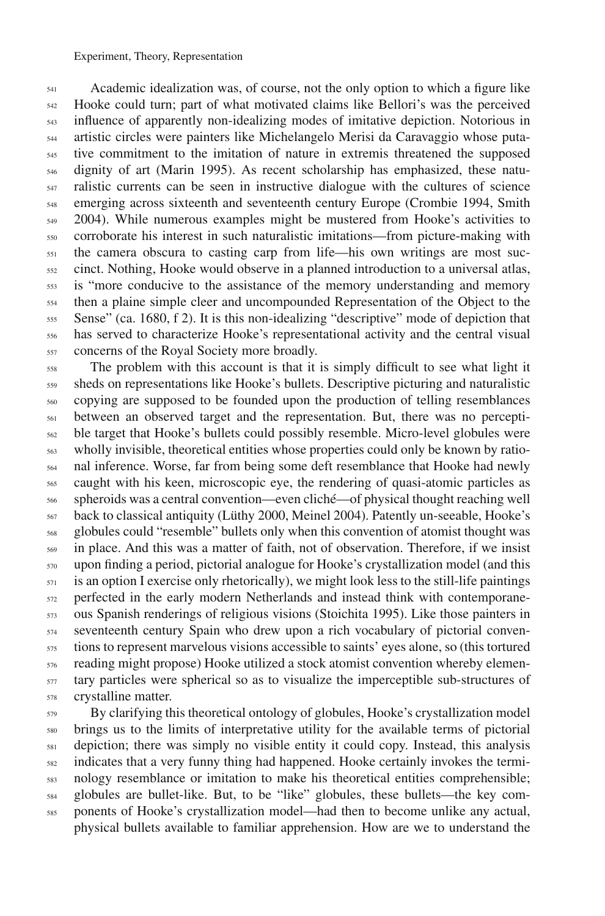## Experiment, Theory, Representation

541 542 543 544 545 546 547 548 549 550 551 552 553 554 555 556 557 Academic idealization was, of course, not the only option to which a figure like Hooke could turn; part of what motivated claims like Bellori's was the perceived influence of apparently non-idealizing modes of imitative depiction. Notorious in artistic circles were painters like Michelangelo Merisi da Caravaggio whose putative commitment to the imitation of nature in extremis threatened the supposed dignity of art (Marin 1995). As recent scholarship has emphasized, these naturalistic currents can be seen in instructive dialogue with the cultures of science emerging across sixteenth and seventeenth century Europe (Crombie [1994,](#page-23-7) Smith [2004\)](#page-26-0). While numerous examples might be mustered from Hooke's activities to corroborate his interest in such naturalistic imitations—from picture-making with the camera obscura to casting carp from life—his own writings are most succinct. Nothing, Hooke would observe in a planned introduction to a universal atlas, is "more conducive to the assistance of the memory understanding and memory then a plaine simple cleer and uncompounded Representation of the Object to the Sense" (ca. 1680, f 2). It is this non-idealizing "descriptive" mode of depiction that has served to characterize Hooke's representational activity and the central visual concerns of the Royal Society more broadly.

558 559 560 561 562 563 564 565 566 567 568 569 570 571 572 573 574 575 576 577 578 The problem with this account is that it is simply difficult to see what light it sheds on representations like Hooke's bullets. Descriptive picturing and naturalistic copying are supposed to be founded upon the production of telling resemblances between an observed target and the representation. But, there was no perceptible target that Hooke's bullets could possibly resemble. Micro-level globules were wholly invisible, theoretical entities whose properties could only be known by rational inference. Worse, far from being some deft resemblance that Hooke had newly caught with his keen, microscopic eye, the rendering of quasi-atomic particles as spheroids was a central convention—even cliché—of physical thought reaching well back to classical antiquity (Lüthy 2000, Meinel [2004\)](#page-25-12). Patently un-seeable, Hooke's globules could "resemble" bullets only when this convention of atomist thought was in place. And this was a matter of faith, not of observation. Therefore, if we insist upon finding a period, pictorial analogue for Hooke's crystallization model (and this is an option I exercise only rhetorically), we might look less to the still-life paintings perfected in the early modern Netherlands and instead think with contemporaneous Spanish renderings of religious visions (Stoichita 1995). Like those painters in seventeenth century Spain who drew upon a rich vocabulary of pictorial conventions to represent marvelous visions accessible to saints' eyes alone, so (this tortured reading might propose) Hooke utilized a stock atomist convention whereby elementary particles were spherical so as to visualize the imperceptible sub-structures of crystalline matter.

579 580 581 582 583 584 585 By clarifying this theoretical ontology of globules, Hooke's crystallization model brings us to the limits of interpretative utility for the available terms of pictorial depiction; there was simply no visible entity it could copy. Instead, this analysis indicates that a very funny thing had happened. Hooke certainly invokes the terminology resemblance or imitation to make his theoretical entities comprehensible; globules are bullet-like. But, to be "like" globules, these bullets—the key components of Hooke's crystallization model—had then to become unlike any actual, physical bullets available to familiar apprehension. How are we to understand the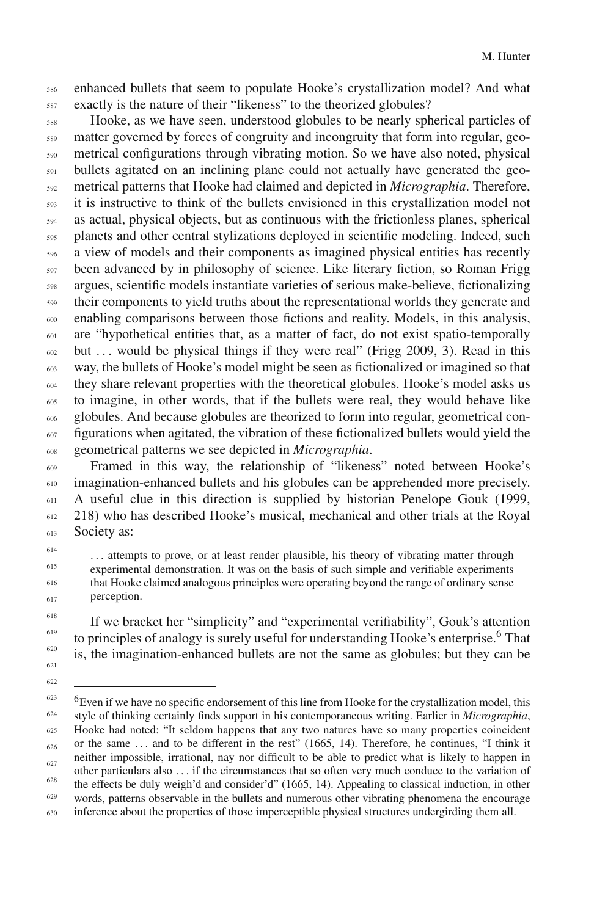586 597 enhanced bullets that seem to populate Hooke's crystallization model? And what exactly is the nature of their "likeness" to the theorized globules?

588 589 590 591 592 593 594 595 596 597 598 599 600 601 602 603 604 605 606 607 608 Hooke, as we have seen, understood globules to be nearly spherical particles of matter governed by forces of congruity and incongruity that form into regular, geometrical configurations through vibrating motion. So we have also noted, physical bullets agitated on an inclining plane could not actually have generated the geometrical patterns that Hooke had claimed and depicted in *Micrographia*. Therefore, it is instructive to think of the bullets envisioned in this crystallization model not as actual, physical objects, but as continuous with the frictionless planes, spherical planets and other central stylizations deployed in scientific modeling. Indeed, such a view of models and their components as imagined physical entities has recently been advanced by in philosophy of science. Like literary fiction, so Roman Frigg argues, scientific models instantiate varieties of serious make-believe, fictionalizing their components to yield truths about the representational worlds they generate and enabling comparisons between those fictions and reality. Models, in this analysis, are "hypothetical entities that, as a matter of fact, do not exist spatio-temporally but *...* would be physical things if they were real" (Frigg 2009, 3). Read in this way, the bullets of Hooke's model might be seen as fictionalized or imagined so that they share relevant properties with the theoretical globules. Hooke's model asks us to imagine, in other words, that if the bullets were real, they would behave like globules. And because globules are theorized to form into regular, geometrical configurations when agitated, the vibration of these fictionalized bullets would yield the geometrical patterns we see depicted in *Micrographia*.

609 610 611 612 613 Framed in this way, the relationship of "likeness" noted between Hooke's imagination-enhanced bullets and his globules can be apprehended more precisely. A useful clue in this direction is supplied by historian Penelope Gouk [\(1999,](#page-24-12) 218) who has described Hooke's musical, mechanical and other trials at the Royal Society as:

614 615 616 617 *...* attempts to prove, or at least render plausible, his theory of vibrating matter through experimental demonstration. It was on the basis of such simple and verifiable experiments that Hooke claimed analogous principles were operating beyond the range of ordinary sense perception.

618 619 620 621 If we bracket her "simplicity" and "experimental verifiability", Gouk's attention to principles of analogy is surely useful for understanding Hooke's enterprise.<sup>6</sup> That is, the imagination-enhanced bullets are not the same as globules; but they can be

<span id="page-13-0"></span><sup>623</sup> 624 625 626 627 628 629 630  $6$ Even if we have no specific endorsement of this line from Hooke for the crystallization model, this style of thinking certainly finds support in his contemporaneous writing. Earlier in *Micrographia*, Hooke had noted: "It seldom happens that any two natures have so many properties coincident or the same *...* and to be different in the rest" (1665, 14). Therefore, he continues, "I think it neither impossible, irrational, nay nor difficult to be able to predict what is likely to happen in other particulars also *...* if the circumstances that so often very much conduce to the variation of the effects be duly weigh'd and consider'd" (1665, 14). Appealing to classical induction, in other words, patterns observable in the bullets and numerous other vibrating phenomena the encourage inference about the properties of those imperceptible physical structures undergirding them all.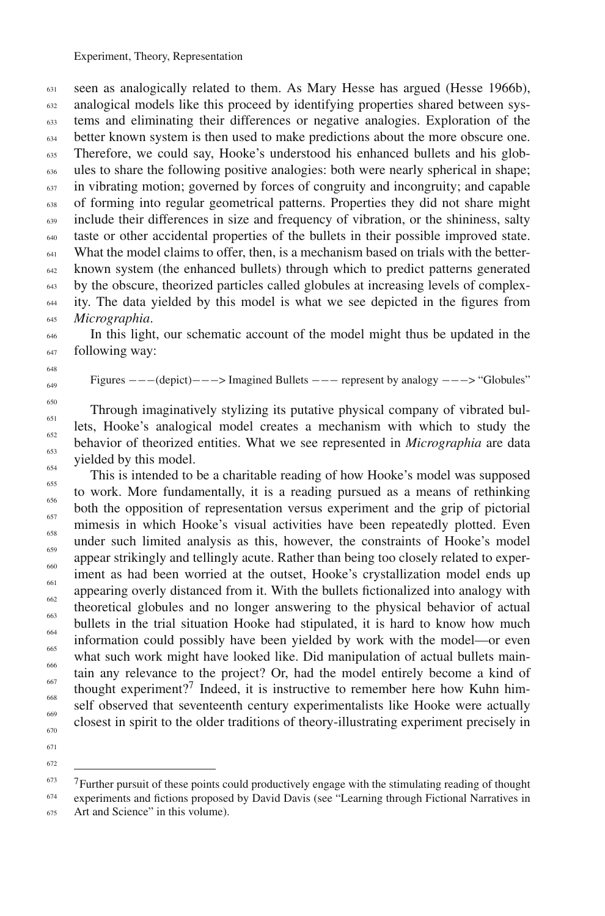631 632 633 634 635 636 637 638 639 640 641 642 643 644 645 seen as analogically related to them. As Mary Hesse has argued (Hesse [1966b\)](#page-24-14), analogical models like this proceed by identifying properties shared between systems and eliminating their differences or negative analogies. Exploration of the better known system is then used to make predictions about the more obscure one. Therefore, we could say, Hooke's understood his enhanced bullets and his globules to share the following positive analogies: both were nearly spherical in shape; in vibrating motion; governed by forces of congruity and incongruity; and capable of forming into regular geometrical patterns. Properties they did not share might include their differences in size and frequency of vibration, or the shininess, salty taste or other accidental properties of the bullets in their possible improved state. What the model claims to offer, then, is a mechanism based on trials with the betterknown system (the enhanced bullets) through which to predict patterns generated by the obscure, theorized particles called globules at increasing levels of complexity. The data yielded by this model is what we see depicted in the figures from *Micrographia*.

646 647 In this light, our schematic account of the model might thus be updated in the following way:

648 649

Figures −−−(depict)−−−> Imagined Bullets −−− represent by analogy −−−> "Globules"

650 651 652 653 654 Through imaginatively stylizing its putative physical company of vibrated bullets, Hooke's analogical model creates a mechanism with which to study the behavior of theorized entities. What we see represented in *Micrographia* are data yielded by this model.

655 656 657 658 659 660 661 662 663 664 665 666 667 668 669 670 This is intended to be a charitable reading of how Hooke's model was supposed to work. More fundamentally, it is a reading pursued as a means of rethinking both the opposition of representation versus experiment and the grip of pictorial mimesis in which Hooke's visual activities have been repeatedly plotted. Even under such limited analysis as this, however, the constraints of Hooke's model appear strikingly and tellingly acute. Rather than being too closely related to experiment as had been worried at the outset, Hooke's crystallization model ends up appearing overly distanced from it. With the bullets fictionalized into analogy with theoretical globules and no longer answering to the physical behavior of actual bullets in the trial situation Hooke had stipulated, it is hard to know how much information could possibly have been yielded by work with the model—or even what such work might have looked like. Did manipulation of actual bullets maintain any relevance to the project? Or, had the model entirely become a kind of thought experiment?<sup>7</sup> Indeed, it is instructive to remember here how Kuhn himself observed that seventeenth century experimentalists like Hooke were actually closest in spirit to the older traditions of theory-illustrating experiment precisely in

671 672

675 Art and Science" in this volume).

<sup>673</sup> <sup>7</sup>Further pursuit of these points could productively engage with the stimulating reading of thought

<span id="page-14-0"></span><sup>674</sup> experiments and fictions proposed by David Davis (see "Learning through Fictional Narratives in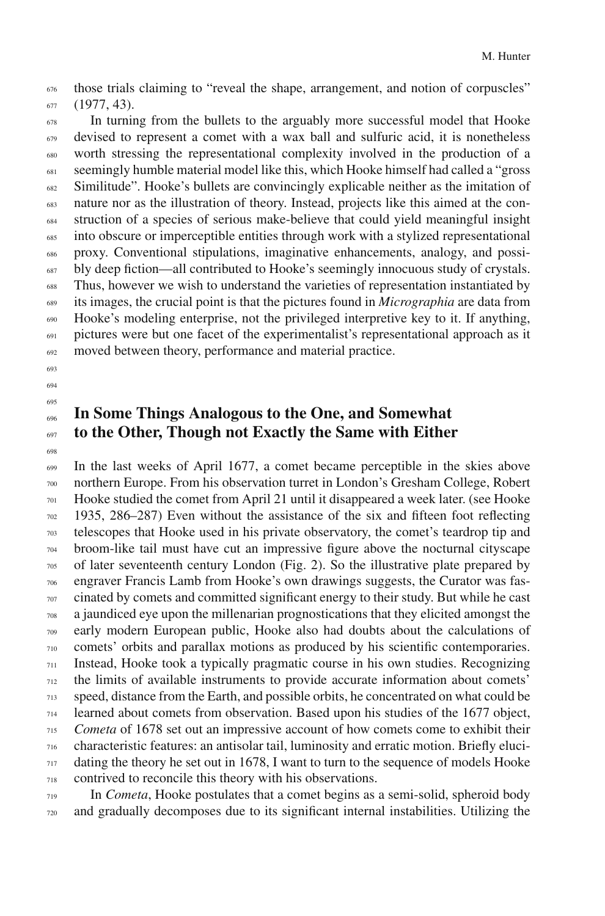676 677 those trials claiming to "reveal the shape, arrangement, and notion of corpuscles" (1977, 43).

678 679 680 681 682 683 684 685 686 687 688 689 690 691 692 In turning from the bullets to the arguably more successful model that Hooke devised to represent a comet with a wax ball and sulfuric acid, it is nonetheless worth stressing the representational complexity involved in the production of a seemingly humble material model like this, which Hooke himself had called a "gross Similitude". Hooke's bullets are convincingly explicable neither as the imitation of nature nor as the illustration of theory. Instead, projects like this aimed at the construction of a species of serious make-believe that could yield meaningful insight into obscure or imperceptible entities through work with a stylized representational proxy. Conventional stipulations, imaginative enhancements, analogy, and possibly deep fiction—all contributed to Hooke's seemingly innocuous study of crystals. Thus, however we wish to understand the varieties of representation instantiated by its images, the crucial point is that the pictures found in *Micrographia* are data from Hooke's modeling enterprise, not the privileged interpretive key to it. If anything, pictures were but one facet of the experimentalist's representational approach as it moved between theory, performance and material practice.

693

### 694 695

698

#### 696 697 **In Some Things Analogous to the One, and Somewhat to the Other, Though not Exactly the Same with Either**

699 700 701 702 703 704 705 706 707 708 709 710 711 712 713 714 715 716 717 718 In the last weeks of April 1677, a comet became perceptible in the skies above northern Europe. From his observation turret in London's Gresham College, Robert Hooke studied the comet from April 21 until it disappeared a week later. (see Hooke [1935,](#page-25-13) 286–287) Even without the assistance of the six and fifteen foot reflecting telescopes that Hooke used in his private observatory, the comet's teardrop tip and broom-like tail must have cut an impressive figure above the nocturnal cityscape of later seventeenth century London (Fig. [2\)](#page-2-0). So the illustrative plate prepared by engraver Francis Lamb from Hooke's own drawings suggests, the Curator was fascinated by comets and committed significant energy to their study. But while he cast a jaundiced eye upon the millenarian prognostications that they elicited amongst the early modern European public, Hooke also had doubts about the calculations of comets' orbits and parallax motions as produced by his scientific contemporaries. Instead, Hooke took a typically pragmatic course in his own studies. Recognizing the limits of available instruments to provide accurate information about comets' speed, distance from the Earth, and possible orbits, he concentrated on what could be learned about comets from observation. Based upon his studies of the 1677 object, *Cometa* of 1678 set out an impressive account of how comets come to exhibit their characteristic features: an antisolar tail, luminosity and erratic motion. Briefly elucidating the theory he set out in 1678, I want to turn to the sequence of models Hooke contrived to reconcile this theory with his observations.

719 720 In *Cometa*, Hooke postulates that a comet begins as a semi-solid, spheroid body and gradually decomposes due to its significant internal instabilities. Utilizing the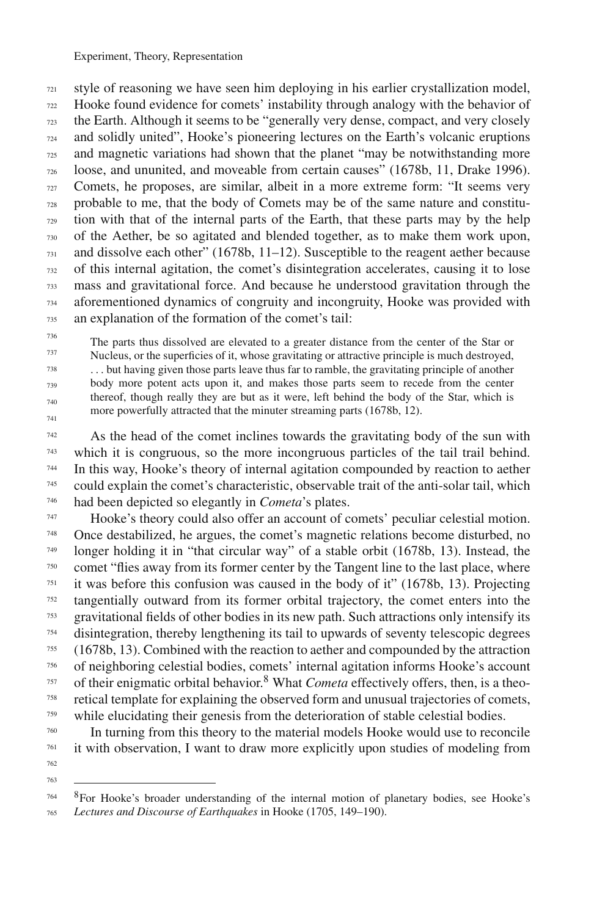721 722 723 724 725 726 727 728 729 730 731 732 733 734 735 style of reasoning we have seen him deploying in his earlier crystallization model, Hooke found evidence for comets' instability through analogy with the behavior of the Earth. Although it seems to be "generally very dense, compact, and very closely and solidly united", Hooke's pioneering lectures on the Earth's volcanic eruptions and magnetic variations had shown that the planet "may be notwithstanding more loose, and ununited, and moveable from certain causes" (1678b, 11, Drake [1996\)](#page-23-8). Comets, he proposes, are similar, albeit in a more extreme form: "It seems very probable to me, that the body of Comets may be of the same nature and constitution with that of the internal parts of the Earth, that these parts may by the help of the Aether, be so agitated and blended together, as to make them work upon, and dissolve each other"  $(1678b, 11-12)$ . Susceptible to the reagent aether because of this internal agitation, the comet's disintegration accelerates, causing it to lose mass and gravitational force. And because he understood gravitation through the aforementioned dynamics of congruity and incongruity, Hooke was provided with an explanation of the formation of the comet's tail:

736 737 738 739 740 741 The parts thus dissolved are elevated to a greater distance from the center of the Star or Nucleus, or the superficies of it, whose gravitating or attractive principle is much destroyed, *...* but having given those parts leave thus far to ramble, the gravitating principle of another body more potent acts upon it, and makes those parts seem to recede from the center thereof, though really they are but as it were, left behind the body of the Star, which is more powerfully attracted that the minuter streaming parts (1678b, 12).

742 743 744 745 746 As the head of the comet inclines towards the gravitating body of the sun with which it is congruous, so the more incongruous particles of the tail trail behind. In this way, Hooke's theory of internal agitation compounded by reaction to aether could explain the comet's characteristic, observable trait of the anti-solar tail, which had been depicted so elegantly in *Cometa*'s plates.

747 748 749 750 751 752 753 754 755 756 757 758 759 Hooke's theory could also offer an account of comets' peculiar celestial motion. Once destabilized, he argues, the comet's magnetic relations become disturbed, no longer holding it in "that circular way" of a stable orbit (1678b, 13). Instead, the comet "flies away from its former center by the Tangent line to the last place, where it was before this confusion was caused in the body of it" (1678b, 13). Projecting tangentially outward from its former orbital trajectory, the comet enters into the gravitational fields of other bodies in its new path. Such attractions only intensify its disintegration, thereby lengthening its tail to upwards of seventy telescopic degrees (1678b, 13). Combined with the reaction to aether and compounded by the attraction of neighboring celestial bodies, comets' internal agitation informs Hooke's account of their enigmatic orbital behavior.[8](#page-16-0) What *Cometa* effectively offers, then, is a theoretical template for explaining the observed form and unusual trajectories of comets, while elucidating their genesis from the deterioration of stable celestial bodies.

760 761 In turning from this theory to the material models Hooke would use to reconcile it with observation, I want to draw more explicitly upon studies of modeling from

<span id="page-16-0"></span><sup>764</sup> 765 <sup>8</sup>For Hooke's broader understanding of the internal motion of planetary bodies, see Hooke's *Lectures and Discourse of Earthquakes* in Hooke [\(1705,](#page-25-6) 149–190).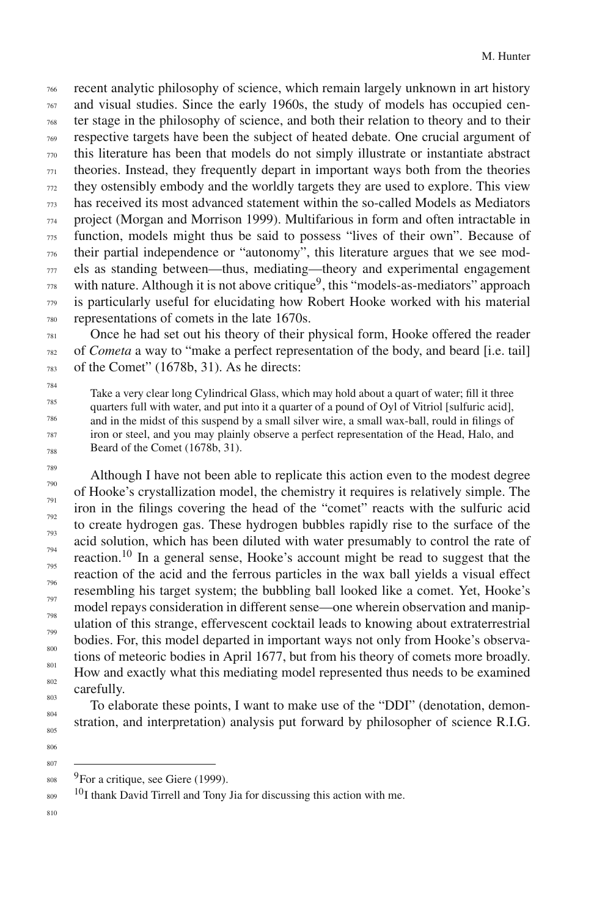766 767 768 769 770 771 772 773 774 775 776 777 778 779 780 recent analytic philosophy of science, which remain largely unknown in art history and visual studies. Since the early 1960s, the study of models has occupied center stage in the philosophy of science, and both their relation to theory and to their respective targets have been the subject of heated debate. One crucial argument of this literature has been that models do not simply illustrate or instantiate abstract theories. Instead, they frequently depart in important ways both from the theories they ostensibly embody and the worldly targets they are used to explore. This view has received its most advanced statement within the so-called Models as Mediators project (Morgan and Morrison 1999). Multifarious in form and often intractable in function, models might thus be said to possess "lives of their own". Because of their partial independence or "autonomy", this literature argues that we see models as standing between—thus, mediating—theory and experimental engagement with nature. Although it is not above critique<sup>9</sup>, this "models-as-mediators" approach is particularly useful for elucidating how Robert Hooke worked with his material representations of comets in the late 1670s.

781 782 783 Once he had set out his theory of their physical form, Hooke offered the reader of *Cometa* a way to "make a perfect representation of the body, and beard [i.e. tail] of the Comet" (1678b, 31). As he directs:

784 785 786 787 788 Take a very clear long Cylindrical Glass, which may hold about a quart of water; fill it three quarters full with water, and put into it a quarter of a pound of Oyl of Vitriol [sulfuric acid], and in the midst of this suspend by a small silver wire, a small wax-ball, rould in filings of iron or steel, and you may plainly observe a perfect representation of the Head, Halo, and Beard of the Comet (1678b, 31).

789 790 791 792 793 794 795 796 797 798 799 800 801 802 803 Although I have not been able to replicate this action even to the modest degree of Hooke's crystallization model, the chemistry it requires is relatively simple. The iron in the filings covering the head of the "comet" reacts with the sulfuric acid to create hydrogen gas. These hydrogen bubbles rapidly rise to the surface of the acid solution, which has been diluted with water presumably to control the rate of reaction.[10](#page-17-1) In a general sense, Hooke's account might be read to suggest that the reaction of the acid and the ferrous particles in the wax ball yields a visual effect resembling his target system; the bubbling ball looked like a comet. Yet, Hooke's model repays consideration in different sense—one wherein observation and manipulation of this strange, effervescent cocktail leads to knowing about extraterrestrial bodies. For, this model departed in important ways not only from Hooke's observations of meteoric bodies in April 1677, but from his theory of comets more broadly. How and exactly what this mediating model represented thus needs to be examined carefully.

804 805 To elaborate these points, I want to make use of the "DDI" (denotation, demonstration, and interpretation) analysis put forward by philosopher of science R.I.G.

<sup>806</sup> 807

<sup>808</sup>  $9^9$ For a critique, see Giere [\(1999\)](#page-24-15).

<span id="page-17-1"></span><span id="page-17-0"></span> $800$  $10<sub>I</sub>$  I thank David Tirrell and Tony Jia for discussing this action with me.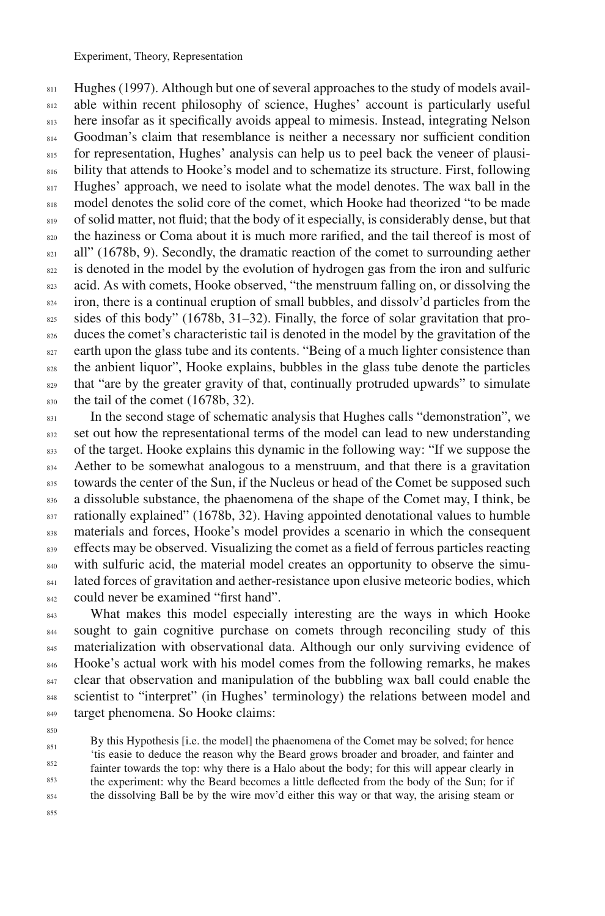$811$  $812$ 813 814 815 816 817 818 819 820 821  $822$ 823 824 825 826 827 828 829 830 Hughes (1997). Although but one of several approaches to the study of models available within recent philosophy of science, Hughes' account is particularly useful here insofar as it specifically avoids appeal to mimesis. Instead, integrating Nelson Goodman's claim that resemblance is neither a necessary nor sufficient condition for representation, Hughes' analysis can help us to peel back the veneer of plausibility that attends to Hooke's model and to schematize its structure. First, following Hughes' approach, we need to isolate what the model denotes. The wax ball in the model denotes the solid core of the comet, which Hooke had theorized "to be made of solid matter, not fluid; that the body of it especially, is considerably dense, but that the haziness or Coma about it is much more rarified, and the tail thereof is most of all" (1678b, 9). Secondly, the dramatic reaction of the comet to surrounding aether is denoted in the model by the evolution of hydrogen gas from the iron and sulfuric acid. As with comets, Hooke observed, "the menstruum falling on, or dissolving the iron, there is a continual eruption of small bubbles, and dissolv'd particles from the sides of this body" (1678b, 31–32). Finally, the force of solar gravitation that produces the comet's characteristic tail is denoted in the model by the gravitation of the earth upon the glass tube and its contents. "Being of a much lighter consistence than the anbient liquor", Hooke explains, bubbles in the glass tube denote the particles that "are by the greater gravity of that, continually protruded upwards" to simulate the tail of the comet (1678b, 32).

831 832 833 834 835 836 837 838 839 840 841 842 In the second stage of schematic analysis that Hughes calls "demonstration", we set out how the representational terms of the model can lead to new understanding of the target. Hooke explains this dynamic in the following way: "If we suppose the Aether to be somewhat analogous to a menstruum, and that there is a gravitation towards the center of the Sun, if the Nucleus or head of the Comet be supposed such a dissoluble substance, the phaenomena of the shape of the Comet may, I think, be rationally explained" (1678b, 32). Having appointed denotational values to humble materials and forces, Hooke's model provides a scenario in which the consequent effects may be observed. Visualizing the comet as a field of ferrous particles reacting with sulfuric acid, the material model creates an opportunity to observe the simulated forces of gravitation and aether-resistance upon elusive meteoric bodies, which could never be examined "first hand".

843 844 845 846 847 848 849 What makes this model especially interesting are the ways in which Hooke sought to gain cognitive purchase on comets through reconciling study of this materialization with observational data. Although our only surviving evidence of Hooke's actual work with his model comes from the following remarks, he makes clear that observation and manipulation of the bubbling wax ball could enable the scientist to "interpret" (in Hughes' terminology) the relations between model and target phenomena. So Hooke claims:

850

851 852 853 854 By this Hypothesis [i.e. the model] the phaenomena of the Comet may be solved; for hence 'tis easie to deduce the reason why the Beard grows broader and broader, and fainter and fainter towards the top: why there is a Halo about the body; for this will appear clearly in the experiment: why the Beard becomes a little deflected from the body of the Sun; for if the dissolving Ball be by the wire mov'd either this way or that way, the arising steam or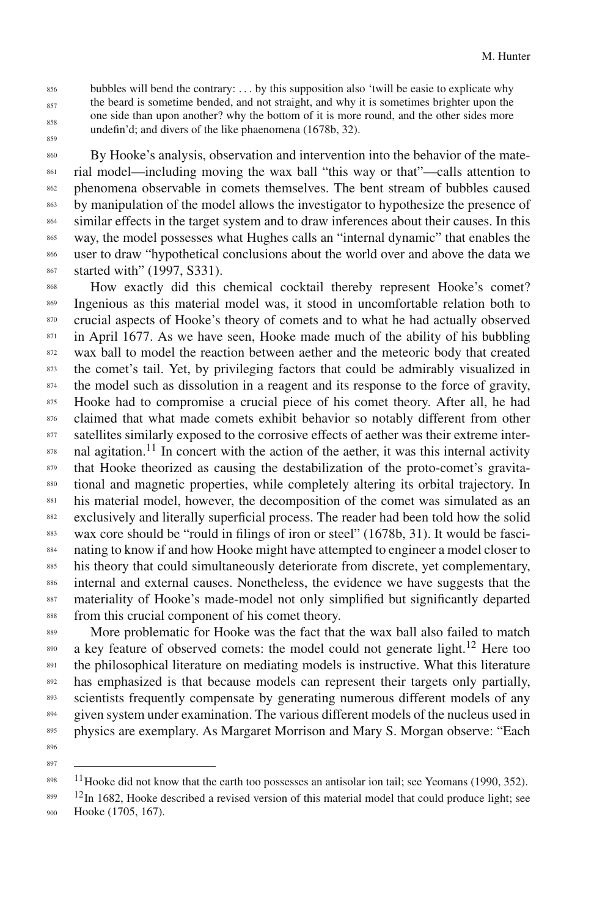$856$  $857$ 858 bubbles will bend the contrary: *...* by this supposition also 'twill be easie to explicate why the beard is sometime bended, and not straight, and why it is sometimes brighter upon the one side than upon another? why the bottom of it is more round, and the other sides more undefin'd; and divers of the like phaenomena (1678b, 32).

859

860 861 862 863 864 865 866 867 By Hooke's analysis, observation and intervention into the behavior of the material model—including moving the wax ball "this way or that"—calls attention to phenomena observable in comets themselves. The bent stream of bubbles caused by manipulation of the model allows the investigator to hypothesize the presence of similar effects in the target system and to draw inferences about their causes. In this way, the model possesses what Hughes calls an "internal dynamic" that enables the user to draw "hypothetical conclusions about the world over and above the data we started with" (1997, S331).

868 869 870 871 872 873 874 875 876 877 878 879 880 881 882 883 884 885 886 887 888 How exactly did this chemical cocktail thereby represent Hooke's comet? Ingenious as this material model was, it stood in uncomfortable relation both to crucial aspects of Hooke's theory of comets and to what he had actually observed in April 1677. As we have seen, Hooke made much of the ability of his bubbling wax ball to model the reaction between aether and the meteoric body that created the comet's tail. Yet, by privileging factors that could be admirably visualized in the model such as dissolution in a reagent and its response to the force of gravity, Hooke had to compromise a crucial piece of his comet theory. After all, he had claimed that what made comets exhibit behavior so notably different from other satellites similarly exposed to the corrosive effects of aether was their extreme inter-nal agitation.<sup>[11](#page-19-0)</sup> In concert with the action of the aether, it was this internal activity that Hooke theorized as causing the destabilization of the proto-comet's gravitational and magnetic properties, while completely altering its orbital trajectory. In his material model, however, the decomposition of the comet was simulated as an exclusively and literally superficial process. The reader had been told how the solid wax core should be "rould in filings of iron or steel" (1678b, 31). It would be fascinating to know if and how Hooke might have attempted to engineer a model closer to his theory that could simultaneously deteriorate from discrete, yet complementary, internal and external causes. Nonetheless, the evidence we have suggests that the materiality of Hooke's made-model not only simplified but significantly departed from this crucial component of his comet theory.

889 890 891 892 893 894 895 More problematic for Hooke was the fact that the wax ball also failed to match a key feature of observed comets: the model could not generate light.<sup>[12](#page-19-1)</sup> Here too the philosophical literature on mediating models is instructive. What this literature has emphasized is that because models can represent their targets only partially, scientists frequently compensate by generating numerous different models of any given system under examination. The various different models of the nucleus used in physics are exemplary. As Margaret Morrison and Mary S. Morgan observe: "Each

<sup>898</sup>  $11$  Hooke did not know that the earth too possesses an antisolar ion tail; see Yeomans [\(1990,](#page-26-10) 352).

<span id="page-19-1"></span><span id="page-19-0"></span><sup>89&</sup>lt;sup>o</sup> 900  $12$ In 1682, Hooke described a revised version of this material model that could produce light; see Hooke [\(1705,](#page-25-6) 167).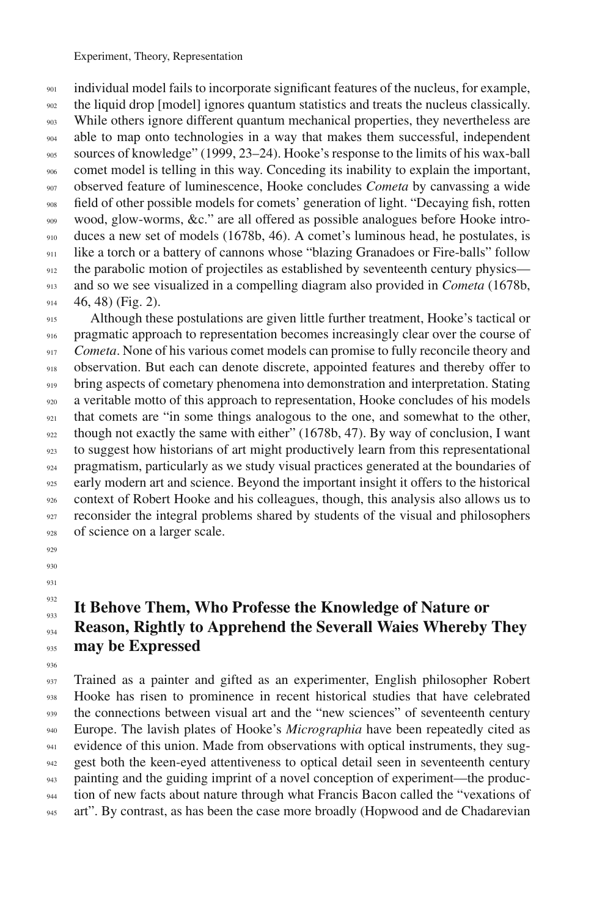$001$  $0<sup>2</sup>$ 903 904 905 906 907 908 909 910 911 912 913 914 individual model fails to incorporate significant features of the nucleus, for example, the liquid drop [model] ignores quantum statistics and treats the nucleus classically. While others ignore different quantum mechanical properties, they nevertheless are able to map onto technologies in a way that makes them successful, independent sources of knowledge" (1999, 23–24). Hooke's response to the limits of his wax-ball comet model is telling in this way. Conceding its inability to explain the important, observed feature of luminescence, Hooke concludes *Cometa* by canvassing a wide field of other possible models for comets' generation of light. "Decaying fish, rotten wood, glow-worms, &c." are all offered as possible analogues before Hooke introduces a new set of models (1678b, 46). A comet's luminous head, he postulates, is like a torch or a battery of cannons whose "blazing Granadoes or Fire-balls" follow the parabolic motion of projectiles as established by seventeenth century physics and so we see visualized in a compelling diagram also provided in *Cometa* (1678b, 46, 48) (Fig. [2\)](#page-2-0).

915 916 917 918 919 920 921 922  $923$ 924  $925$ 926 927  $928$ Although these postulations are given little further treatment, Hooke's tactical or pragmatic approach to representation becomes increasingly clear over the course of *Cometa*. None of his various comet models can promise to fully reconcile theory and observation. But each can denote discrete, appointed features and thereby offer to bring aspects of cometary phenomena into demonstration and interpretation. Stating a veritable motto of this approach to representation, Hooke concludes of his models that comets are "in some things analogous to the one, and somewhat to the other, though not exactly the same with either" (1678b, 47). By way of conclusion, I want to suggest how historians of art might productively learn from this representational pragmatism, particularly as we study visual practices generated at the boundaries of early modern art and science. Beyond the important insight it offers to the historical context of Robert Hooke and his colleagues, though, this analysis also allows us to reconsider the integral problems shared by students of the visual and philosophers of science on a larger scale.

- 929 930
- 931

936

#### 932 933 934 935 **It Behove Them, Who Professe the Knowledge of Nature or Reason, Rightly to Apprehend the Severall Waies Whereby They may be Expressed**

937 938 939 940 941 942 943 944 945 Trained as a painter and gifted as an experimenter, English philosopher Robert Hooke has risen to prominence in recent historical studies that have celebrated the connections between visual art and the "new sciences" of seventeenth century Europe. The lavish plates of Hooke's *Micrographia* have been repeatedly cited as evidence of this union. Made from observations with optical instruments, they suggest both the keen-eyed attentiveness to optical detail seen in seventeenth century painting and the guiding imprint of a novel conception of experiment—the production of new facts about nature through what Francis Bacon called the "vexations of art". By contrast, as has been the case more broadly (Hopwood and de Chadarevian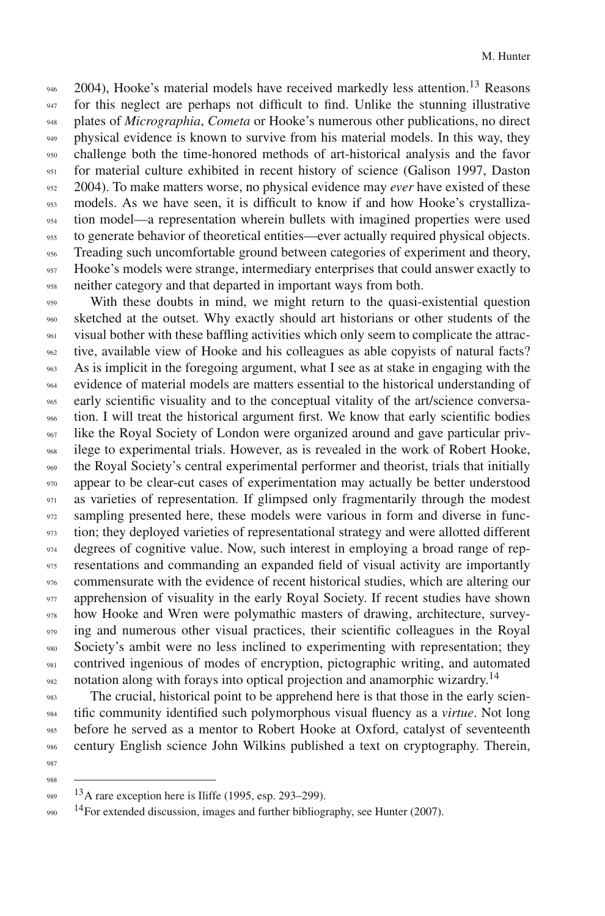946 047 948 949 950  $051$  $052$ 953 954  $055$ 956 957 958 2004), Hooke's material models have received markedly less attention.<sup>[13](#page-21-0)</sup> Reasons for this neglect are perhaps not difficult to find. Unlike the stunning illustrative plates of *Micrographia*, *Cometa* or Hooke's numerous other publications, no direct physical evidence is known to survive from his material models. In this way, they challenge both the time-honored methods of art-historical analysis and the favor for material culture exhibited in recent history of science (Galison [1997,](#page-24-9) Daston 2004). To make matters worse, no physical evidence may *ever* have existed of these models. As we have seen, it is difficult to know if and how Hooke's crystallization model—a representation wherein bullets with imagined properties were used to generate behavior of theoretical entities—ever actually required physical objects. Treading such uncomfortable ground between categories of experiment and theory, Hooke's models were strange, intermediary enterprises that could answer exactly to neither category and that departed in important ways from both.

959 960 961 962 963 964 965 966 967 968 969 970 971 072 973 974 975 976 977 978 979 980 981 982 With these doubts in mind, we might return to the quasi-existential question sketched at the outset. Why exactly should art historians or other students of the visual bother with these baffling activities which only seem to complicate the attractive, available view of Hooke and his colleagues as able copyists of natural facts? As is implicit in the foregoing argument, what I see as at stake in engaging with the evidence of material models are matters essential to the historical understanding of early scientific visuality and to the conceptual vitality of the art/science conversation. I will treat the historical argument first. We know that early scientific bodies like the Royal Society of London were organized around and gave particular privilege to experimental trials. However, as is revealed in the work of Robert Hooke, the Royal Society's central experimental performer and theorist, trials that initially appear to be clear-cut cases of experimentation may actually be better understood as varieties of representation. If glimpsed only fragmentarily through the modest sampling presented here, these models were various in form and diverse in function; they deployed varieties of representational strategy and were allotted different degrees of cognitive value. Now, such interest in employing a broad range of representations and commanding an expanded field of visual activity are importantly commensurate with the evidence of recent historical studies, which are altering our apprehension of visuality in the early Royal Society. If recent studies have shown how Hooke and Wren were polymathic masters of drawing, architecture, surveying and numerous other visual practices, their scientific colleagues in the Royal Society's ambit were no less inclined to experimenting with representation; they contrived ingenious of modes of encryption, pictographic writing, and automated notation along with forays into optical projection and anamorphic wizardry.<sup>14</sup>

983 984 985 986 The crucial, historical point to be apprehend here is that those in the early scientific community identified such polymorphous visual fluency as a *virtue*. Not long before he served as a mentor to Robert Hooke at Oxford, catalyst of seventeenth century English science John Wilkins published a text on cryptography. Therein,

<sup>080</sup>  $13$ A rare exception here is Iliffe [\(1995,](#page-25-14) esp. 293–299).

<span id="page-21-1"></span><span id="page-21-0"></span><sup>990</sup> <sup>14</sup>For extended discussion, images and further bibliography, see Hunter (2007).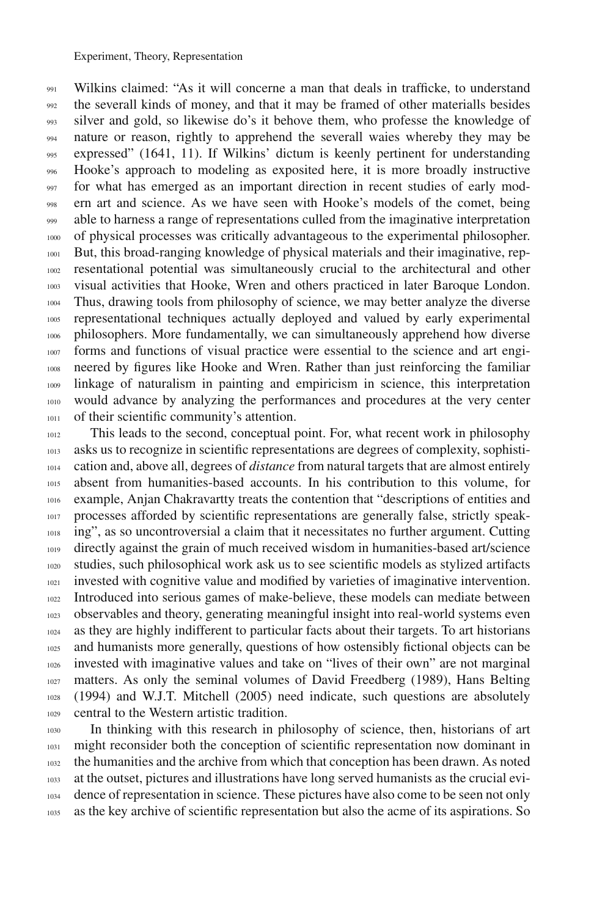## Experiment, Theory, Representation

 $901$  $992$ 993 994 995 996 997 998 999 1000 1001 1002 1003 1004 1005 1006 1007 1008 1009 1010 1011 Wilkins claimed: "As it will concerne a man that deals in trafficke, to understand the severall kinds of money, and that it may be framed of other materialls besides silver and gold, so likewise do's it behove them, who professe the knowledge of nature or reason, rightly to apprehend the severall waies whereby they may be expressed" (1641, 11). If Wilkins' dictum is keenly pertinent for understanding Hooke's approach to modeling as exposited here, it is more broadly instructive for what has emerged as an important direction in recent studies of early modern art and science. As we have seen with Hooke's models of the comet, being able to harness a range of representations culled from the imaginative interpretation of physical processes was critically advantageous to the experimental philosopher. But, this broad-ranging knowledge of physical materials and their imaginative, representational potential was simultaneously crucial to the architectural and other visual activities that Hooke, Wren and others practiced in later Baroque London. Thus, drawing tools from philosophy of science, we may better analyze the diverse representational techniques actually deployed and valued by early experimental philosophers. More fundamentally, we can simultaneously apprehend how diverse forms and functions of visual practice were essential to the science and art engineered by figures like Hooke and Wren. Rather than just reinforcing the familiar linkage of naturalism in painting and empiricism in science, this interpretation would advance by analyzing the performances and procedures at the very center of their scientific community's attention.

1012 1013 1014 1015 1016 1017 1018 1019 1020 1021 1022 1023 1024 1025 1026 1027 1028 1029 This leads to the second, conceptual point. For, what recent work in philosophy asks us to recognize in scientific representations are degrees of complexity, sophistication and, above all, degrees of *distance* from natural targets that are almost entirely absent from humanities-based accounts. In his contribution to this volume, for example, Anjan Chakravartty treats the contention that "descriptions of entities and processes afforded by scientific representations are generally false, strictly speaking", as so uncontroversial a claim that it necessitates no further argument. Cutting directly against the grain of much received wisdom in humanities-based art/science studies, such philosophical work ask us to see scientific models as stylized artifacts invested with cognitive value and modified by varieties of imaginative intervention. Introduced into serious games of make-believe, these models can mediate between observables and theory, generating meaningful insight into real-world systems even as they are highly indifferent to particular facts about their targets. To art historians and humanists more generally, questions of how ostensibly fictional objects can be invested with imaginative values and take on "lives of their own" are not marginal matters. As only the seminal volumes of David Freedberg [\(1989\)](#page-24-16), Hans Belting (1994) and W.J.T. Mitchell [\(2005\)](#page-25-15) need indicate, such questions are absolutely central to the Western artistic tradition.

1030 1031 1032 1033 1034 1035 In thinking with this research in philosophy of science, then, historians of art might reconsider both the conception of scientific representation now dominant in the humanities and the archive from which that conception has been drawn. As noted at the outset, pictures and illustrations have long served humanists as the crucial evidence of representation in science. These pictures have also come to be seen not only as the key archive of scientific representation but also the acme of its aspirations. So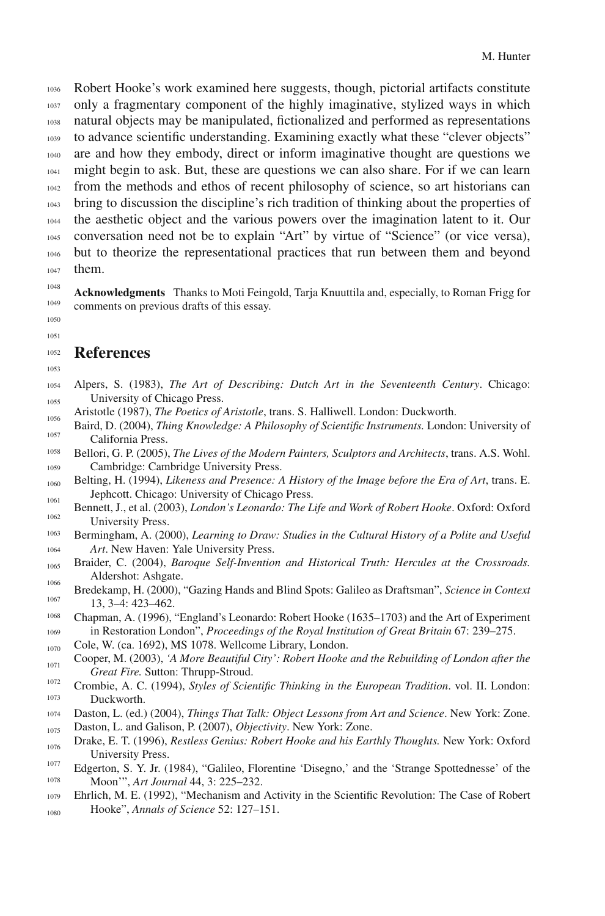1036 1037 1038 1039 1040 1041 1042 1043 1044 1045 1046 1047 Robert Hooke's work examined here suggests, though, pictorial artifacts constitute only a fragmentary component of the highly imaginative, stylized ways in which natural objects may be manipulated, fictionalized and performed as representations to advance scientific understanding. Examining exactly what these "clever objects" are and how they embody, direct or inform imaginative thought are questions we might begin to ask. But, these are questions we can also share. For if we can learn from the methods and ethos of recent philosophy of science, so art historians can bring to discussion the discipline's rich tradition of thinking about the properties of the aesthetic object and the various powers over the imagination latent to it. Our conversation need not be to explain "Art" by virtue of "Science" (or vice versa), but to theorize the representational practices that run between them and beyond them.

1048 1049 **Acknowledgments** Thanks to Moti Feingold, Tarja Knuuttila and, especially, to Roman Frigg for comments on previous drafts of this essay.

1050 1051

#### 1052 **References**

- 1053
- 1054 1055 Alpers, S. (1983), *The Art of Describing: Dutch Art in the Seventeenth Century*. Chicago: University of Chicago Press.
- <span id="page-23-3"></span>1056 Aristotle (1987), *The Poetics of Aristotle*, trans. S. Halliwell. London: Duckworth.
- <span id="page-23-6"></span>1057 Baird, D. (2004), *Thing Knowledge: A Philosophy of Scientific Instruments.* London: University of California Press.
- 1058 1059 Bellori, G. P. (2005), *The Lives of the Modern Painters, Sculptors and Architects*, trans. A.S. Wohl. Cambridge: Cambridge University Press.
- 1060 1061 Belting, H. (1994), *Likeness and Presence: A History of the Image before the Era of Art*, trans. E. Jephcott. Chicago: University of Chicago Press.
- 1062 Bennett, J., et al. (2003), *London's Leonardo: The Life and Work of Robert Hooke*. Oxford: Oxford University Press.
- 1063 1064 Bermingham, A. (2000), *Learning to Draw: Studies in the Cultural History of a Polite and Useful Art*. New Haven: Yale University Press.
- <span id="page-23-4"></span>1065 1066 Braider, C. (2004), *Baroque Self-Invention and Historical Truth: Hercules at the Crossroads.* Aldershot: Ashgate.
- <span id="page-23-2"></span>1067 Bredekamp, H. (2000), "Gazing Hands and Blind Spots: Galileo as Draftsman", *Science in Context* 13, 3–4: 423–462.
- <span id="page-23-1"></span>1068 1069 Chapman, A. (1996), "England's Leonardo: Robert Hooke (1635–1703) and the Art of Experiment in Restoration London", *Proceedings of the Royal Institution of Great Britain* 67: 239–275.
- 1070 Cole, W. (ca. 1692), MS 1078. Wellcome Library, London.
- 1071 Cooper, M. (2003), *'A More Beautiful City': Robert Hooke and the Rebuilding of London after the Great Fire.* Sutton: Thrupp-Stroud.
- 1072 1073 Crombie, A. C. (1994), *Styles of Scientific Thinking in the European Tradition*. vol. II. London: Duckworth.
- <span id="page-23-7"></span>1074 Daston, L. (ed.) (2004), *Things That Talk: Object Lessons from Art and Science*. New York: Zone.
- 1075 Daston, L. and Galison, P. (2007), *Objectivity*. New York: Zone.
- 1076 Drake, E. T. (1996), *Restless Genius: Robert Hooke and his Earthly Thoughts.* New York: Oxford University Press.
- <span id="page-23-8"></span>1077 1078 Edgerton, S. Y. Jr. (1984), "Galileo, Florentine 'Disegno,' and the 'Strange Spottednesse' of the Moon'", *Art Journal* 44, 3: 225–232.
- <span id="page-23-5"></span><span id="page-23-0"></span>1079 1080 Ehrlich, M. E. (1992), "Mechanism and Activity in the Scientific Revolution: The Case of Robert Hooke", *Annals of Science* 52: 127–151.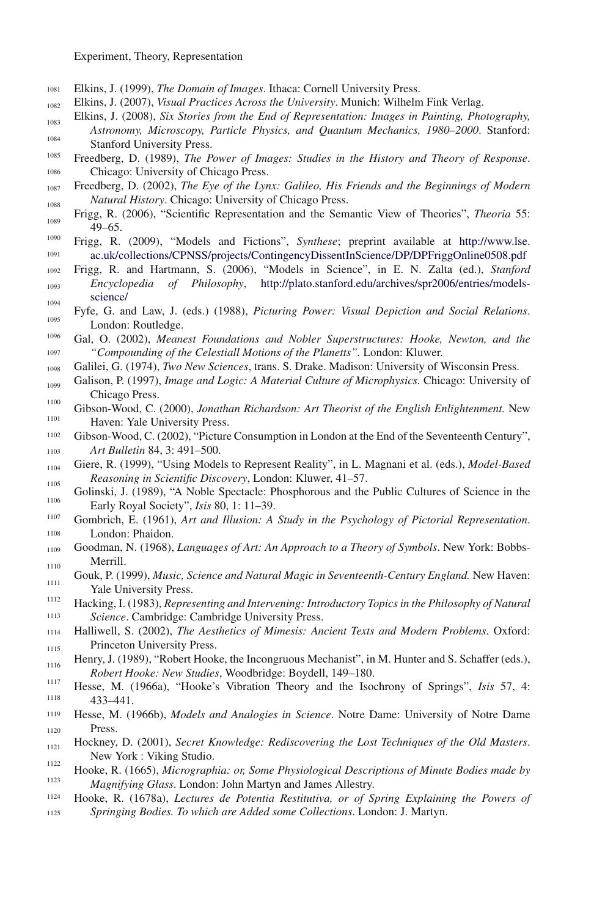- 1081 Elkins, J. (1999), *The Domain of Images*. Ithaca: Cornell University Press.
- <span id="page-24-6"></span>1082 Elkins, J. (2007), *Visual Practices Across the University*. Munich: Wilhelm Fink Verlag.
- <span id="page-24-7"></span>1083 Elkins, J. (2008), *Six Stories from the End of Representation: Images in Painting, Photography,*
- 1084 *Astronomy, Microscopy, Particle Physics, and Quantum Mechanics, 1980–2000*. Stanford: Stanford University Press.
- <span id="page-24-8"></span>1085 1086 Freedberg, D. (1989), *The Power of Images: Studies in the History and Theory of Response*. Chicago: University of Chicago Press.
- <span id="page-24-16"></span>1087 1088 Freedberg, D. (2002), *The Eye of the Lynx: Galileo, His Friends and the Beginnings of Modern Natural History*. Chicago: University of Chicago Press.
- <span id="page-24-2"></span>1089 Frigg, R. (2006), "Scientific Representation and the Semantic View of Theories", *Theoria* 55: 49–65.
- 1090 1091 Frigg, R. (2009), "Models and Fictions", *Synthese*; preprint available at http://www.lse. ac.uk/collections/CPNSS/projects/ContingencyDissentInScience/DP/DPFriggOnline0508.pdf
- 1092 1093 1094 Frigg, R. and Hartmann, S. (2006), "Models in Science", in E. N. Zalta (ed.), *Stanford Encyclopedia of Philosophy*, http://plato.stanford.edu/archives/spr2006/entries/modelsscience/
- 1095 Fyfe, G. and Law, J. (eds.) (1988), *Picturing Power: Visual Depiction and Social Relations*. London: Routledge.
- 1096 1097 Gal, O. (2002), *Meanest Foundations and Nobler Superstructures: Hooke, Newton, and the "Compounding of the Celestiall Motions of the Planetts".* London: Kluwer.
- <span id="page-24-13"></span>1098 Galilei, G. (1974), *Two New Sciences*, trans. S. Drake. Madison: University of Wisconsin Press.
- 1099 1100 Galison, P. (1997), *Image and Logic: A Material Culture of Microphysics.* Chicago: University of Chicago Press.
- <span id="page-24-9"></span>1101 Gibson-Wood, C. (2000), *Jonathan Richardson: Art Theorist of the English Enlightenment.* New Haven: Yale University Press.
- <span id="page-24-1"></span>1102 1103 Gibson-Wood, C. (2002), "Picture Consumption in London at the End of the Seventeenth Century", *Art Bulletin* 84, 3: 491–500.
- <span id="page-24-4"></span>1104 1105 Giere, R. (1999), "Using Models to Represent Reality", in L. Magnani et al. (eds.), *Model-Based Reasoning in Scientific Discovery*, London: Kluwer, 41–57.
- <span id="page-24-15"></span>1106 Golinski, J. (1989), "A Noble Spectacle: Phosphorous and the Public Cultures of Science in the Early Royal Society", *Isis* 80, 1: 11–39.
- <span id="page-24-5"></span>1107 1108 Gombrich, E. (1961), *Art and Illusion: A Study in the Psychology of Pictorial Representation*. London: Phaidon.
- 1109 1110 Goodman, N. (1968), *Languages of Art: An Approach to a Theory of Symbols*. New York: Bobbs-Merrill.
- 1111 Gouk, P. (1999), *Music, Science and Natural Magic in Seventeenth-Century England.* New Haven: Yale University Press.
- <span id="page-24-12"></span>1112 1113 Hacking, I. (1983), *Representing and Intervening: Introductory Topics in the Philosophy of Natural Science*. Cambridge: Cambridge University Press.
- 1114 1115 Halliwell, S. (2002), *The Aesthetics of Mimesis: Ancient Texts and Modern Problems*. Oxford: Princeton University Press.
- <span id="page-24-3"></span>1116 Henry, J. (1989), "Robert Hooke, the Incongruous Mechanist", in M. Hunter and S. Schaffer (eds.), *Robert Hooke: New Studies*, Woodbridge: Boydell, 149–180.
- <span id="page-24-11"></span>1117 1118 Hesse, M. (1966a), "Hooke's Vibration Theory and the Isochrony of Springs", *Isis* 57, 4: 433–441.
- <span id="page-24-10"></span>1119 1120 Hesse, M. (1966b), *Models and Analogies in Science*. Notre Dame: University of Notre Dame Press.
- <span id="page-24-14"></span>1121 1122 Hockney, D. (2001), *Secret Knowledge: Rediscovering the Lost Techniques of the Old Masters*. New York : Viking Studio.
- <span id="page-24-0"></span>1123 Hooke, R. (1665), *Micrographia: or, Some Physiological Descriptions of Minute Bodies made by Magnifying Glass*. London: John Martyn and James Allestry.
- 1124 1125 Hooke, R. (1678a), *Lectures de Potentia Restitutiva, or of Spring Explaining the Powers of Springing Bodies. To which are Added some Collections*. London: J. Martyn.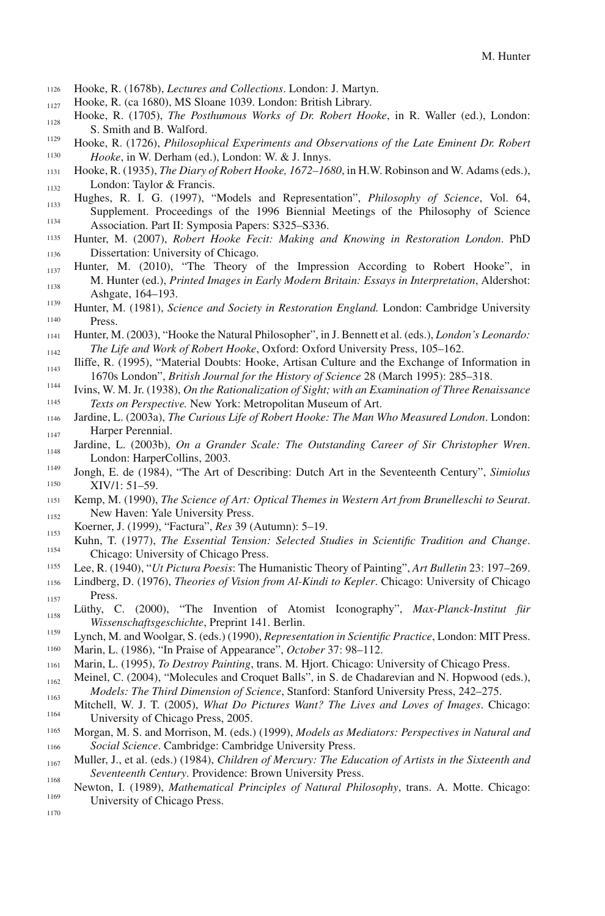- 1126 Hooke, R. (1678b), *Lectures and Collections*. London: J. Martyn.
- 1127 Hooke, R. (ca 1680), MS Sloane 1039. London: British Library.
- 1128 Hooke, R. (1705), *The Posthumous Works of Dr. Robert Hooke*, in R. Waller (ed.), London: S. Smith and B. Walford.
- <span id="page-25-6"></span>1129 1130 Hooke, R. (1726), *Philosophical Experiments and Observations of the Late Eminent Dr. Robert Hooke*, in W. Derham (ed.), London: W. & J. Innys.
- <span id="page-25-9"></span>1131 1132 Hooke, R. (1935), *The Diary of Robert Hooke, 1672–1680*, in H.W. Robinson and W. Adams (eds.), London: Taylor & Francis.
- <span id="page-25-13"></span>1133 1134 Hughes, R. I. G. (1997), "Models and Representation", *Philosophy of Science*, Vol. 64, Supplement. Proceedings of the 1996 Biennial Meetings of the Philosophy of Science Association. Part II: Symposia Papers: S325–S336.
- 1135 1136 Hunter, M. (2007), *Robert Hooke Fecit: Making and Knowing in Restoration London*. PhD Dissertation: University of Chicago.
- 1137 1138 Hunter, M. (2010), "The Theory of the Impression According to Robert Hooke", in M. Hunter (ed.), *Printed Images in Early Modern Britain: Essays in Interpretation*, Aldershot: Ashgate, 164–193.
- <span id="page-25-7"></span>1139 1140 Hunter, M. (1981), *Science and Society in Restoration England.* London: Cambridge University Press.
- 1141 1142 Hunter, M. (2003), "Hooke the Natural Philosopher", in J. Bennett et al. (eds.), *London's Leonardo: The Life and Work of Robert Hooke*, Oxford: Oxford University Press, 105–162.
- <span id="page-25-10"></span>1143 Iliffe, R. (1995), "Material Doubts: Hooke, Artisan Culture and the Exchange of Information in 1670s London", *British Journal for the History of Science* 28 (March 1995): 285–318.
- <span id="page-25-14"></span>1144 1145 Ivins, W. M. Jr. (1938), *On the Rationalization of Sight; with an Examination of Three Renaissance Texts on Perspective.* New York: Metropolitan Museum of Art.
- <span id="page-25-0"></span>1146 1147 Jardine, L. (2003a), *The Curious Life of Robert Hooke: The Man Who Measured London*. London: Harper Perennial.
- <span id="page-25-5"></span>1148 Jardine, L. (2003b), *On a Grander Scale: The Outstanding Career of Sir Christopher Wren*. London: HarperCollins, 2003.
- 1149 1150 Jongh, E. de (1984), "The Art of Describing: Dutch Art in the Seventeenth Century", *Simiolus* XIV/1: 51–59.
- <span id="page-25-3"></span>1151 1152 Kemp, M. (1990), *The Science of Art: Optical Themes in Western Art from Brunelleschi to Seurat*. New Haven: Yale University Press.
- <span id="page-25-2"></span>1153 Koerner, J. (1999), "Factura", *Res* 39 (Autumn): 5–19.
- <span id="page-25-8"></span>1154 Kuhn, T. (1977), *The Essential Tension: Selected Studies in Scientific Tradition and Change*. Chicago: University of Chicago Press.
- 1155 Lee, R. (1940), "*Ut Pictura Poesis*: The Humanistic Theory of Painting", *Art Bulletin* 23: 197–269.
- <span id="page-25-11"></span>1156 1157 Lindberg, D. (1976), *Theories of Vision from Al-Kindi to Kepler*. Chicago: University of Chicago Press.
- <span id="page-25-1"></span>1158 Lüthy, C. (2000), "The Invention of Atomist Iconography", *Max-Planck-Institut für Wissenschaftsgeschichte*, Preprint 141. Berlin.
- 1159 Lynch, M. and Woolgar, S. (eds.) (1990), *Representation in Scientific Practice*, London: MIT Press.
- 1160 Marin, L. (1986), "In Praise of Appearance", *October* 37: 98–112.
- <span id="page-25-4"></span>1161 Marin, L. (1995), *To Destroy Painting*, trans. M. Hjort. Chicago: University of Chicago Press.
- 1162 1163 Meinel, C. (2004), "Molecules and Croquet Balls", in S. de Chadarevian and N. Hopwood (eds.), *Models: The Third Dimension of Science*, Stanford: Stanford University Press, 242–275.
- <span id="page-25-12"></span>1164 Mitchell, W. J. T. (2005), *What Do Pictures Want? The Lives and Loves of Images*. Chicago: University of Chicago Press, 2005.
- <span id="page-25-15"></span>1165 1166 Morgan, M. S. and Morrison, M. (eds.) (1999), *Models as Mediators: Perspectives in Natural and Social Science*. Cambridge: Cambridge University Press.
- 1167 1168 Muller, J., et al. (eds.) (1984), *Children of Mercury: The Education of Artists in the Sixteenth and Seventeenth Century*. Providence: Brown University Press.
- 1169 Newton, I. (1989), *Mathematical Principles of Natural Philosophy*, trans. A. Motte. Chicago: University of Chicago Press.
- 1170